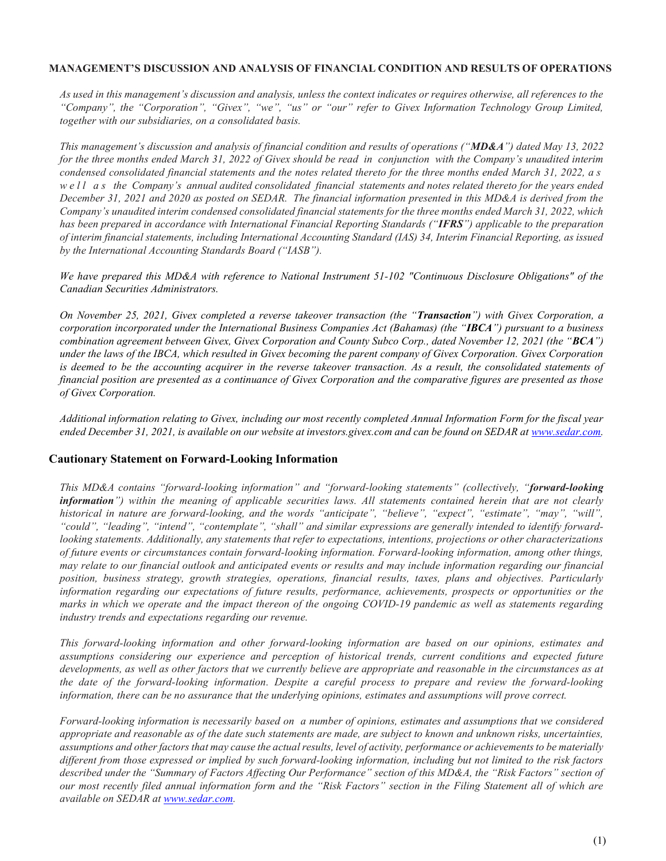#### MANAGEMENT'S DISCUSSION AND ANALYSIS OF FINANCIAL CONDITION AND RESULTS OF OPERATIONS

As used in this management's discussion and analysis, unless the context indicates or requires otherwise, all references to the "Company", the "Corporation", "Givex", "we", "us" or "our" refer to Givex Information Technology Group Limited, together with our subsidiaries, on a consolidated basis.

This management's discussion and analysis of financial condition and results of operations ("MD&A") dated May 13, 2022 for the three months ended March 31, 2022 of Givex should be read in conjunction with the Company's unaudited interim condensed consolidated financial statements and the notes related thereto for the three months ended March 31, 2022, a s we ll as the Company's annual audited consolidated financial statements and notes related thereto for the years ended December 31, 2021 and 2020 as posted on SEDAR. The financial information presented in this MD&A is derived from the Company's unaudited interim condensed consolidated financial statements for the three months ended March 31, 2022, which has been prepared in accordance with International Financial Reporting Standards ("IFRS") applicable to the preparation of interim financial statements, including International Accounting Standard (IAS) 34, Interim Financial Reporting, as issued by the International Accounting Standards Board ("IASB").

We have prepared this MD&A with reference to National Instrument 51-102 "Continuous Disclosure Obligations" of the Canadian Securities Administrators.

On November 25, 2021, Givex completed a reverse takeover transaction (the "Transaction") with Givex Corporation, a corporation incorporated under the International Business Companies Act (Bahamas) (the "IBCA") pursuant to a business combination agreement between Givex, Givex Corporation and County Subco Corp., dated November 12, 2021 (the " $BCA$ ") under the laws of the IBCA, which resulted in Givex becoming the parent company of Givex Corporation. Givex Corporation is deemed to be the accounting acquirer in the reverse takeover transaction. As a result, the consolidated statements of financial position are presented as a continuance of Givex Corporation and the comparative figures are presented as those of Givex Corporation.

Additional information relating to Givex, including our most recently completed Annual Information Form for the fiscal year ended December 31, 2021, is available on our website at investors.givex.com and can be found on SEDAR at www.sedar.com.

#### Cautionary Statement on Forward-Looking Information

This MD&A contains "forward-looking information" and "forward-looking statements" (collectively, "forward-looking information") within the meaning of applicable securities laws. All statements contained herein that are not clearly historical in nature are forward-looking, and the words "anticipate", "believe", "expect", "estimate", "may", "will", "could", "leading", "intend", "contemplate", "shall" and similar expressions are generally intended to identify forwardlooking statements. Additionally, any statements that refer to expectations, intentions, projections or other characterizations of future events or circumstances contain forward-looking information. Forward-looking information, among other things, may relate to our financial outlook and anticipated events or results and may include information regarding our financial position, business strategy, growth strategies, operations, financial results, taxes, plans and objectives. Particularly information regarding our expectations of future results, performance, achievements, prospects or opportunities or the marks in which we operate and the impact thereon of the ongoing COVID-19 pandemic as well as statements regarding industry trends and expectations regarding our revenue.

This forward-looking information and other forward-looking information are based on our opinions, estimates and assumptions considering our experience and perception of historical trends, current conditions and expected future developments, as well as other factors that we currently believe are appropriate and reasonable in the circumstances as at the date of the forward-looking information. Despite a careful process to prepare and review the forward-looking information, there can be no assurance that the underlying opinions, estimates and assumptions will prove correct.

Forward-looking information is necessarily based on a number of opinions, estimates and assumptions that we considered appropriate and reasonable as of the date such statements are made, are subject to known and unknown risks, uncertainties, assumptions and other factors that may cause the actual results, level of activity, performance or achievements to be materially different from those expressed or implied by such forward-looking information, including but not limited to the risk factors described under the "Summary of Factors Affecting Our Performance" section of this MD&A, the "Risk Factors" section of our most recently filed annual information form and the "Risk Factors" section in the Filing Statement all of which are available on SEDAR at www.sedar.com.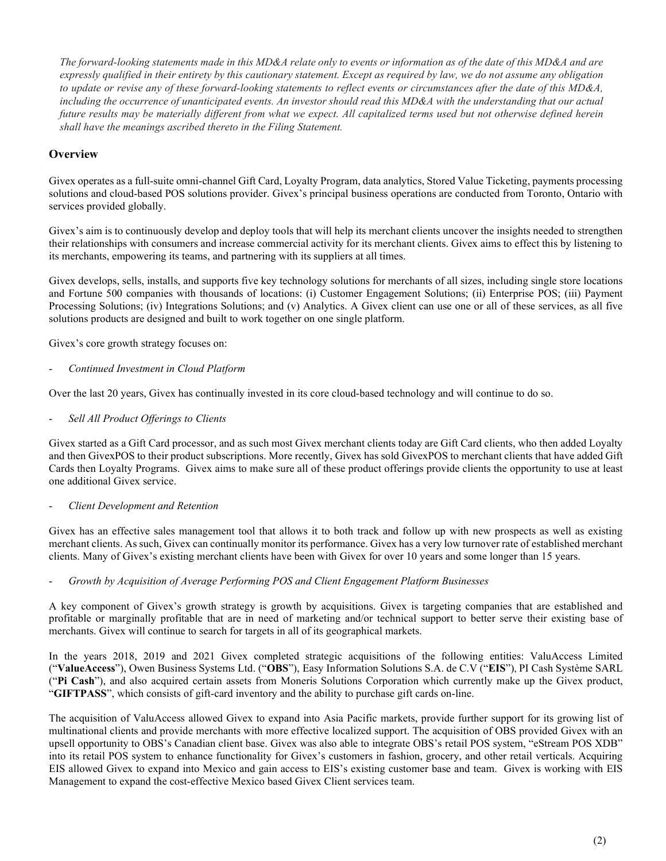The forward-looking statements made in this MD&A relate only to events or information as of the date of this MD&A and are expressly qualified in their entirety by this cautionary statement. Except as required by law, we do not assume any obligation to update or revise any of these forward-looking statements to reflect events or circumstances after the date of this MD&A, including the occurrence of unanticipated events. An investor should read this MD&A with the understanding that our actual future results may be materially different from what we expect. All capitalized terms used but not otherwise defined herein shall have the meanings ascribed thereto in the Filing Statement.

# **Overview**

Givex operates as a full-suite omni-channel Gift Card, Loyalty Program, data analytics, Stored Value Ticketing, payments processing solutions and cloud-based POS solutions provider. Givex's principal business operations are conducted from Toronto, Ontario with services provided globally.

Givex's aim is to continuously develop and deploy tools that will help its merchant clients uncover the insights needed to strengthen their relationships with consumers and increase commercial activity for its merchant clients. Givex aims to effect this by listening to its merchants, empowering its teams, and partnering with its suppliers at all times.

Givex develops, sells, installs, and supports five key technology solutions for merchants of all sizes, including single store locations and Fortune 500 companies with thousands of locations: (i) Customer Engagement Solutions; (ii) Enterprise POS; (iii) Payment Processing Solutions; (iv) Integrations Solutions; and (v) Analytics. A Givex client can use one or all of these services, as all five solutions products are designed and built to work together on one single platform.

Givex's core growth strategy focuses on:

Continued Investment in Cloud Platform

Over the last 20 years, Givex has continually invested in its core cloud-based technology and will continue to do so.

Sell All Product Offerings to Clients

Givex started as a Gift Card processor, and as such most Givex merchant clients today are Gift Card clients, who then added Loyalty and then GivexPOS to their product subscriptions. More recently, Givex has sold GivexPOS to merchant clients that have added Gift Cards then Loyalty Programs. Givex aims to make sure all of these product offerings provide clients the opportunity to use at least one additional Givex service.

#### Client Development and Retention

Givex has an effective sales management tool that allows it to both track and follow up with new prospects as well as existing merchant clients. As such, Givex can continually monitor its performance. Givex has a very low turnover rate of established merchant clients. Many of Givex's existing merchant clients have been with Givex for over 10 years and some longer than 15 years.

#### - Growth by Acquisition of Average Performing POS and Client Engagement Platform Businesses

A key component of Givex's growth strategy is growth by acquisitions. Givex is targeting companies that are established and profitable or marginally profitable that are in need of marketing and/or technical support to better serve their existing base of merchants. Givex will continue to search for targets in all of its geographical markets.

In the years 2018, 2019 and 2021 Givex completed strategic acquisitions of the following entities: ValuAccess Limited ("ValueAccess"), Owen Business Systems Ltd. ("OBS"), Easy Information Solutions S.A. de C.V ("EIS"), PI Cash Système SARL ("Pi Cash"), and also acquired certain assets from Moneris Solutions Corporation which currently make up the Givex product, "GIFTPASS", which consists of gift-card inventory and the ability to purchase gift cards on-line.

The acquisition of ValuAccess allowed Givex to expand into Asia Pacific markets, provide further support for its growing list of multinational clients and provide merchants with more effective localized support. The acquisition of OBS provided Givex with an upsell opportunity to OBS's Canadian client base. Givex was also able to integrate OBS's retail POS system, "eStream POS XDB" into its retail POS system to enhance functionality for Givex's customers in fashion, grocery, and other retail verticals. Acquiring EIS allowed Givex to expand into Mexico and gain access to EIS's existing customer base and team. Givex is working with EIS Management to expand the cost-effective Mexico based Givex Client services team.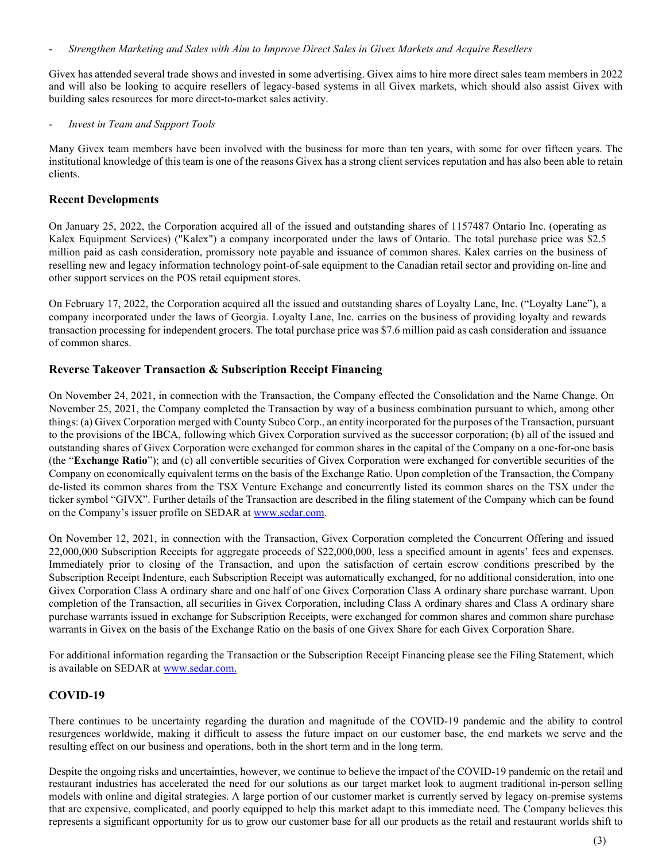- Strengthen Marketing and Sales with Aim to Improve Direct Sales in Givex Markets and Acquire Resellers

Givex has attended several trade shows and invested in some advertising. Givex aims to hire more direct sales team members in 2022 and will also be looking to acquire resellers of legacy-based systems in all Givex markets, which should also assist Givex with building sales resources for more direct-to-market sales activity.

Invest in Team and Support Tools

Many Givex team members have been involved with the business for more than ten years, with some for over fifteen years. The institutional knowledge of this team is one of the reasons Givex has a strong client services reputation and has also been able to retain clients.

### Recent Developments

On January 25, 2022, the Corporation acquired all of the issued and outstanding shares of 1157487 Ontario Inc. (operating as Kalex Equipment Services) ("Kalex") a company incorporated under the laws of Ontario. The total purchase price was \$2.5 million paid as cash consideration, promissory note payable and issuance of common shares. Kalex carries on the business of reselling new and legacy information technology point-of-sale equipment to the Canadian retail sector and providing on-line and other support services on the POS retail equipment stores.

On February 17, 2022, the Corporation acquired all the issued and outstanding shares of Loyalty Lane, Inc. ("Loyalty Lane"), a company incorporated under the laws of Georgia. Loyalty Lane, Inc. carries on the business of providing loyalty and rewards transaction processing for independent grocers. The total purchase price was \$7.6 million paid as cash consideration and issuance of common shares.

### Reverse Takeover Transaction & Subscription Receipt Financing

On November 24, 2021, in connection with the Transaction, the Company effected the Consolidation and the Name Change. On November 25, 2021, the Company completed the Transaction by way of a business combination pursuant to which, among other things: (a) Givex Corporation merged with County Subco Corp., an entity incorporated for the purposes of the Transaction, pursuant to the provisions of the IBCA, following which Givex Corporation survived as the successor corporation; (b) all of the issued and outstanding shares of Givex Corporation were exchanged for common shares in the capital of the Company on a one-for-one basis (the "Exchange Ratio"); and (c) all convertible securities of Givex Corporation were exchanged for convertible securities of the Company on economically equivalent terms on the basis of the Exchange Ratio. Upon completion of the Transaction, the Company de-listed its common shares from the TSX Venture Exchange and concurrently listed its common shares on the TSX under the ticker symbol "GIVX". Further details of the Transaction are described in the filing statement of the Company which can be found on the Company's issuer profile on SEDAR at www.sedar.com.

On November 12, 2021, in connection with the Transaction, Givex Corporation completed the Concurrent Offering and issued 22,000,000 Subscription Receipts for aggregate proceeds of \$22,000,000, less a specified amount in agents' fees and expenses. Immediately prior to closing of the Transaction, and upon the satisfaction of certain escrow conditions prescribed by the Subscription Receipt Indenture, each Subscription Receipt was automatically exchanged, for no additional consideration, into one Givex Corporation Class A ordinary share and one half of one Givex Corporation Class A ordinary share purchase warrant. Upon completion of the Transaction, all securities in Givex Corporation, including Class A ordinary shares and Class A ordinary share purchase warrants issued in exchange for Subscription Receipts, were exchanged for common shares and common share purchase warrants in Givex on the basis of the Exchange Ratio on the basis of one Givex Share for each Givex Corporation Share.

For additional information regarding the Transaction or the Subscription Receipt Financing please see the Filing Statement, which is available on SEDAR at www.sedar.com.

### COVID-19

There continues to be uncertainty regarding the duration and magnitude of the COVID-19 pandemic and the ability to control resurgences worldwide, making it difficult to assess the future impact on our customer base, the end markets we serve and the resulting effect on our business and operations, both in the short term and in the long term.

Despite the ongoing risks and uncertainties, however, we continue to believe the impact of the COVID-19 pandemic on the retail and restaurant industries has accelerated the need for our solutions as our target market look to augment traditional in-person selling models with online and digital strategies. A large portion of our customer market is currently served by legacy on-premise systems that are expensive, complicated, and poorly equipped to help this market adapt to this immediate need. The Company believes this represents a significant opportunity for us to grow our customer base for all our products as the retail and restaurant worlds shift to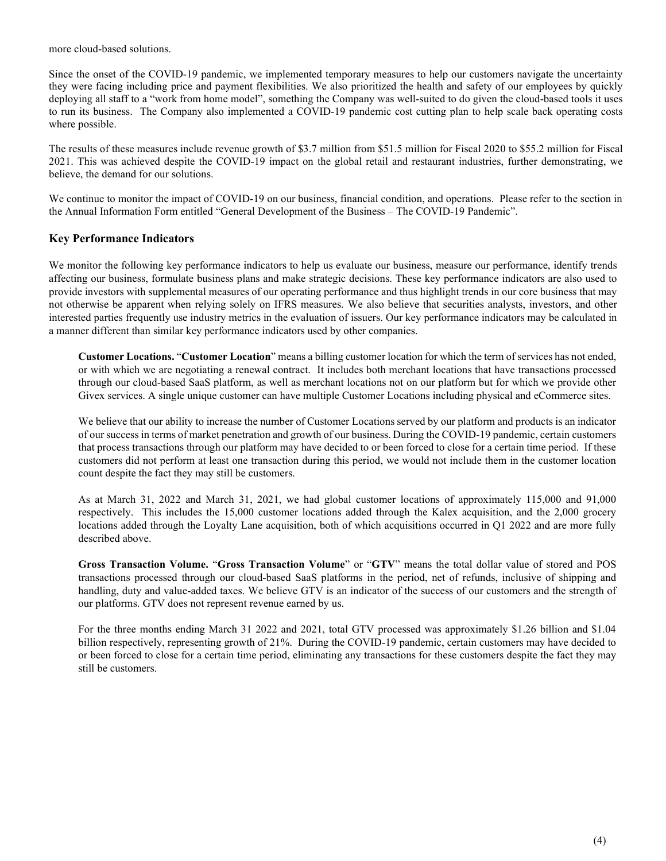more cloud-based solutions.

Since the onset of the COVID-19 pandemic, we implemented temporary measures to help our customers navigate the uncertainty they were facing including price and payment flexibilities. We also prioritized the health and safety of our employees by quickly deploying all staff to a "work from home model", something the Company was well-suited to do given the cloud-based tools it uses to run its business. The Company also implemented a COVID-19 pandemic cost cutting plan to help scale back operating costs where possible.

The results of these measures include revenue growth of \$3.7 million from \$51.5 million for Fiscal 2020 to \$55.2 million for Fiscal 2021. This was achieved despite the COVID-19 impact on the global retail and restaurant industries, further demonstrating, we believe, the demand for our solutions.

We continue to monitor the impact of COVID-19 on our business, financial condition, and operations. Please refer to the section in the Annual Information Form entitled "General Development of the Business – The COVID-19 Pandemic".

### Key Performance Indicators

We monitor the following key performance indicators to help us evaluate our business, measure our performance, identify trends affecting our business, formulate business plans and make strategic decisions. These key performance indicators are also used to provide investors with supplemental measures of our operating performance and thus highlight trends in our core business that may not otherwise be apparent when relying solely on IFRS measures. We also believe that securities analysts, investors, and other interested parties frequently use industry metrics in the evaluation of issuers. Our key performance indicators may be calculated in a manner different than similar key performance indicators used by other companies.

Customer Locations. "Customer Location" means a billing customer location for which the term of services has not ended, or with which we are negotiating a renewal contract. It includes both merchant locations that have transactions processed through our cloud-based SaaS platform, as well as merchant locations not on our platform but for which we provide other Givex services. A single unique customer can have multiple Customer Locations including physical and eCommerce sites.

We believe that our ability to increase the number of Customer Locations served by our platform and products is an indicator of our success in terms of market penetration and growth of our business. During the COVID-19 pandemic, certain customers that process transactions through our platform may have decided to or been forced to close for a certain time period. If these customers did not perform at least one transaction during this period, we would not include them in the customer location count despite the fact they may still be customers.

As at March 31, 2022 and March 31, 2021, we had global customer locations of approximately 115,000 and 91,000 respectively. This includes the 15,000 customer locations added through the Kalex acquisition, and the 2,000 grocery locations added through the Loyalty Lane acquisition, both of which acquisitions occurred in Q1 2022 and are more fully described above.

Gross Transaction Volume. "Gross Transaction Volume" or "GTV" means the total dollar value of stored and POS transactions processed through our cloud-based SaaS platforms in the period, net of refunds, inclusive of shipping and handling, duty and value-added taxes. We believe GTV is an indicator of the success of our customers and the strength of our platforms. GTV does not represent revenue earned by us.

For the three months ending March 31 2022 and 2021, total GTV processed was approximately \$1.26 billion and \$1.04 billion respectively, representing growth of 21%. During the COVID-19 pandemic, certain customers may have decided to or been forced to close for a certain time period, eliminating any transactions for these customers despite the fact they may still be customers.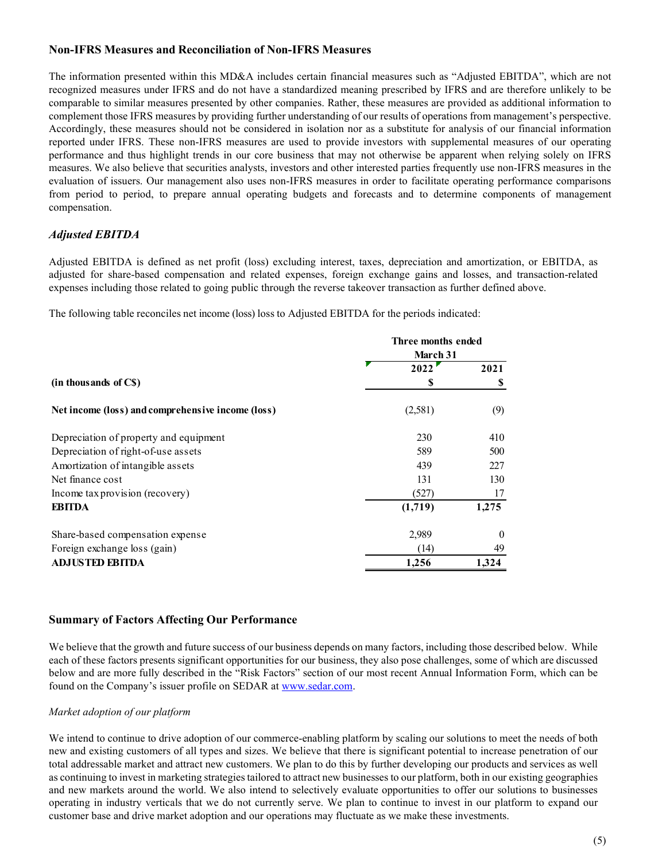### Non-IFRS Measures and Reconciliation of Non-IFRS Measures

The information presented within this MD&A includes certain financial measures such as "Adjusted EBITDA", which are not recognized measures under IFRS and do not have a standardized meaning prescribed by IFRS and are therefore unlikely to be comparable to similar measures presented by other companies. Rather, these measures are provided as additional information to complement those IFRS measures by providing further understanding of our results of operations from management's perspective. Accordingly, these measures should not be considered in isolation nor as a substitute for analysis of our financial information reported under IFRS. These non-IFRS measures are used to provide investors with supplemental measures of our operating performance and thus highlight trends in our core business that may not otherwise be apparent when relying solely on IFRS measures. We also believe that securities analysts, investors and other interested parties frequently use non-IFRS measures in the evaluation of issuers. Our management also uses non-IFRS measures in order to facilitate operating performance comparisons from period to period, to prepare annual operating budgets and forecasts and to determine components of management compensation. bed by IFRS and are therefore unlikely to be<br>ures are provided as additional information to<br>of operations from management's perspective.<br>thute for analysis of our financial information<br>with supplemental measures of our op comparable to similar measures presented by other comparable as a dependent and entired in such a measures are provided as a delitional information to expect the considered in stoching of our results of operations from ma

# Adjusted EBITDA

| reported under IFRS. These non-IFRS measures are used to provide investors with supplemental measures of our operating<br>performance and thus highlight trends in our core business that may not otherwise be apparent when relying solely on IFRS<br>measures. We also believe that securities analysts, investors and other interested parties frequently use non-IFRS measures in the<br>evaluation of issuers. Our management also uses non-IFRS measures in order to facilitate operating performance comparisons<br>from period to period, to prepare annual operating budgets and forecasts and to determine components of management<br>compensation. | Accordingly, these measures should not be considered in isolation nor as a substitute for analysis of our financial information |                  |  |
|----------------------------------------------------------------------------------------------------------------------------------------------------------------------------------------------------------------------------------------------------------------------------------------------------------------------------------------------------------------------------------------------------------------------------------------------------------------------------------------------------------------------------------------------------------------------------------------------------------------------------------------------------------------|---------------------------------------------------------------------------------------------------------------------------------|------------------|--|
| <b>Adjusted EBITDA</b>                                                                                                                                                                                                                                                                                                                                                                                                                                                                                                                                                                                                                                         |                                                                                                                                 |                  |  |
| Adjusted EBITDA is defined as net profit (loss) excluding interest, taxes, depreciation and amortization, or EBITDA, as<br>adjusted for share-based compensation and related expenses, foreign exchange gains and losses, and transaction-related<br>expenses including those related to going public through the reverse takeover transaction as further defined above.                                                                                                                                                                                                                                                                                       |                                                                                                                                 |                  |  |
| The following table reconciles net income (loss) loss to Adjusted EBITDA for the periods indicated:                                                                                                                                                                                                                                                                                                                                                                                                                                                                                                                                                            |                                                                                                                                 |                  |  |
|                                                                                                                                                                                                                                                                                                                                                                                                                                                                                                                                                                                                                                                                | Three months ended<br>March 31                                                                                                  |                  |  |
|                                                                                                                                                                                                                                                                                                                                                                                                                                                                                                                                                                                                                                                                | 2022                                                                                                                            | 2021             |  |
| (in thousands of C\$)                                                                                                                                                                                                                                                                                                                                                                                                                                                                                                                                                                                                                                          | \$                                                                                                                              | \$               |  |
| Net income (loss) and comprehensive income (loss)                                                                                                                                                                                                                                                                                                                                                                                                                                                                                                                                                                                                              | (2,581)                                                                                                                         | (9)              |  |
| Depreciation of property and equipment                                                                                                                                                                                                                                                                                                                                                                                                                                                                                                                                                                                                                         | 230                                                                                                                             | 410              |  |
| Depreciation of right-of-use assets                                                                                                                                                                                                                                                                                                                                                                                                                                                                                                                                                                                                                            | 589                                                                                                                             | 500              |  |
| Amortization of intangible assets                                                                                                                                                                                                                                                                                                                                                                                                                                                                                                                                                                                                                              | 439                                                                                                                             | 227              |  |
| Net finance cost                                                                                                                                                                                                                                                                                                                                                                                                                                                                                                                                                                                                                                               | 131                                                                                                                             | 130              |  |
| Income tax provision (recovery)                                                                                                                                                                                                                                                                                                                                                                                                                                                                                                                                                                                                                                | (527)                                                                                                                           | 17               |  |
| <b>EBITDA</b>                                                                                                                                                                                                                                                                                                                                                                                                                                                                                                                                                                                                                                                  | (1,719)                                                                                                                         | 1,275            |  |
| Share-based compensation expense                                                                                                                                                                                                                                                                                                                                                                                                                                                                                                                                                                                                                               | 2,989                                                                                                                           | $\boldsymbol{0}$ |  |
|                                                                                                                                                                                                                                                                                                                                                                                                                                                                                                                                                                                                                                                                | (14)                                                                                                                            | 49               |  |
| Foreign exchange loss (gain)                                                                                                                                                                                                                                                                                                                                                                                                                                                                                                                                                                                                                                   |                                                                                                                                 |                  |  |

#### Summary of Factors Affecting Our Performance

We believe that the growth and future success of our business depends on many factors, including those described below. While each of these factors presents significant opportunities for our business, they also pose challenges, some of which are discussed below and are more fully described in the "Risk Factors" section of our most recent Annual Information Form, which can be found on the Company's issuer profile on SEDAR at www.sedar.com.

#### Market adoption of our platform

We intend to continue to drive adoption of our commerce-enabling platform by scaling our solutions to meet the needs of both new and existing customers of all types and sizes. We believe that there is significant potential to increase penetration of our total addressable market and attract new customers. We plan to do this by further developing our products and services as well as continuing to invest in marketing strategies tailored to attract new businesses to our platform, both in our existing geographies and new markets around the world. We also intend to selectively evaluate opportunities to offer our solutions to businesses operating in industry verticals that we do not currently serve. We plan to continue to invest in our platform to expand our customer base and drive market adoption and our operations may fluctuate as we make these investments.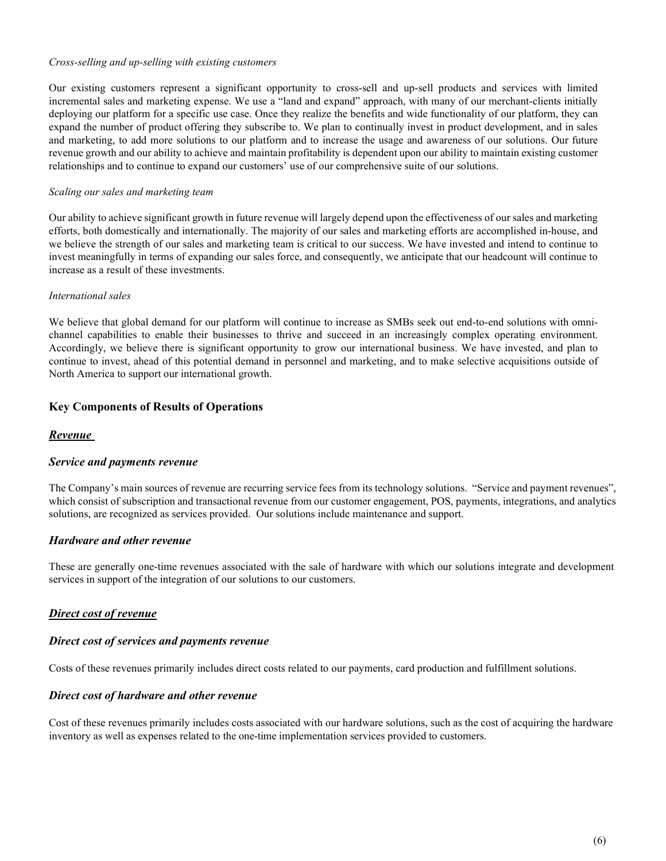#### Cross-selling and up-selling with existing customers

Our existing customers represent a significant opportunity to cross-sell and up-sell products and services with limited incremental sales and marketing expense. We use a "land and expand" approach, with many of our merchant-clients initially deploying our platform for a specific use case. Once they realize the benefits and wide functionality of our platform, they can expand the number of product offering they subscribe to. We plan to continually invest in product development, and in sales and marketing, to add more solutions to our platform and to increase the usage and awareness of our solutions. Our future revenue growth and our ability to achieve and maintain profitability is dependent upon our ability to maintain existing customer relationships and to continue to expand our customers' use of our comprehensive suite of our solutions.

#### Scaling our sales and marketing team

Our ability to achieve significant growth in future revenue will largely depend upon the effectiveness of our sales and marketing efforts, both domestically and internationally. The majority of our sales and marketing efforts are accomplished in-house, and we believe the strength of our sales and marketing team is critical to our success. We have invested and intend to continue to invest meaningfully in terms of expanding our sales force, and consequently, we anticipate that our headcount will continue to increase as a result of these investments.

#### International sales

We believe that global demand for our platform will continue to increase as SMBs seek out end-to-end solutions with omnichannel capabilities to enable their businesses to thrive and succeed in an increasingly complex operating environment. Accordingly, we believe there is significant opportunity to grow our international business. We have invested, and plan to continue to invest, ahead of this potential demand in personnel and marketing, and to make selective acquisitions outside of North America to support our international growth.

### Key Components of Results of Operations

#### Revenue

#### Service and payments revenue

The Company's main sources of revenue are recurring service fees from its technology solutions. "Service and payment revenues", which consist of subscription and transactional revenue from our customer engagement, POS, payments, integrations, and analytics solutions, are recognized as services provided. Our solutions include maintenance and support.

#### Hardware and other revenue

These are generally one-time revenues associated with the sale of hardware with which our solutions integrate and development services in support of the integration of our solutions to our customers.

#### Direct cost of revenue

#### Direct cost of services and payments revenue

Costs of these revenues primarily includes direct costs related to our payments, card production and fulfillment solutions.

#### Direct cost of hardware and other revenue

Cost of these revenues primarily includes costs associated with our hardware solutions, such as the cost of acquiring the hardware inventory as well as expenses related to the one-time implementation services provided to customers.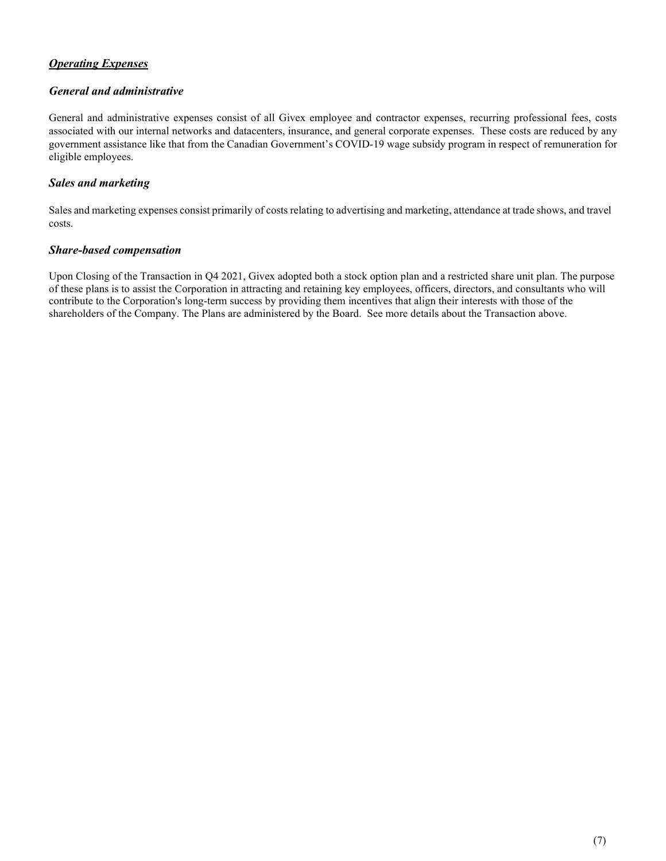# Operating Expenses

# General and administrative

General and administrative expenses consist of all Givex employee and contractor expenses, recurring professional fees, costs associated with our internal networks and datacenters, insurance, and general corporate expenses. These costs are reduced by any government assistance like that from the Canadian Government's COVID-19 wage subsidy program in respect of remuneration for eligible employees.

# Sales and marketing

Sales and marketing expenses consist primarily of costs relating to advertising and marketing, attendance at trade shows, and travel costs.

### Share-based compensation

Upon Closing of the Transaction in Q4 2021, Givex adopted both a stock option plan and a restricted share unit plan. The purpose of these plans is to assist the Corporation in attracting and retaining key employees, officers, directors, and consultants who will contribute to the Corporation's long-term success by providing them incentives that align their interests with those of the shareholders of the Company. The Plans are administered by the Board. See more details about the Transaction above.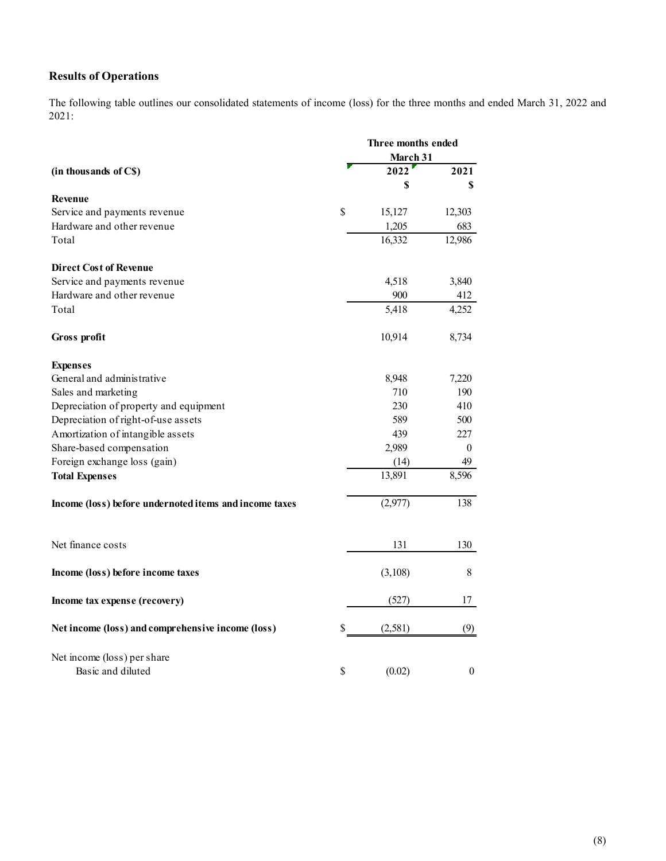# Results of Operations

| <b>Results of Operations</b><br>The following table outlines our consolidated statements of income (loss) for the three months and ended March 31, 2022 and |      |                    |                  |
|-------------------------------------------------------------------------------------------------------------------------------------------------------------|------|--------------------|------------------|
|                                                                                                                                                             |      |                    |                  |
|                                                                                                                                                             |      |                    |                  |
|                                                                                                                                                             |      |                    |                  |
| 2021:                                                                                                                                                       |      |                    |                  |
|                                                                                                                                                             |      | Three months ended |                  |
|                                                                                                                                                             |      | March 31<br>2022   |                  |
| (in thousands of C\$)                                                                                                                                       |      | \$                 | 2021<br>\$       |
| Revenue                                                                                                                                                     |      |                    |                  |
| Service and payments revenue                                                                                                                                | \$   | 15,127             | 12,303           |
| Hardware and other revenue                                                                                                                                  |      | 1,205              | 683              |
| Total                                                                                                                                                       |      | 16,332             | 12,986           |
| <b>Direct Cost of Revenue</b>                                                                                                                               |      |                    |                  |
| Service and payments revenue                                                                                                                                |      | 4,518              | 3,840            |
| Hardware and other revenue                                                                                                                                  |      | 900                | 412              |
| Total                                                                                                                                                       |      | 5,418              | 4,252            |
| Gross profit                                                                                                                                                |      | 10,914             | 8,734            |
| <b>Expenses</b>                                                                                                                                             |      |                    |                  |
| General and administrative                                                                                                                                  |      | 8,948              | 7,220            |
| Sales and marketing                                                                                                                                         |      | 710                | 190              |
| Depreciation of property and equipment                                                                                                                      |      | 230                | 410              |
| Depreciation of right-of-use assets<br>Amortization of intangible assets                                                                                    |      | 589<br>439         | 500<br>227       |
| Share-based compensation                                                                                                                                    |      | 2,989              | $\boldsymbol{0}$ |
| Foreign exchange loss (gain)                                                                                                                                |      | (14)               | 49               |
| <b>Total Expenses</b>                                                                                                                                       |      | 13,891             | 8,596            |
| Income (loss) before undernoted items and income taxes                                                                                                      |      | (2,977)            | 138              |
|                                                                                                                                                             |      |                    |                  |
| Net finance costs                                                                                                                                           |      | 131                | 130              |
| Income (loss) before income taxes                                                                                                                           |      | (3,108)            | $\,8\,$          |
| Income tax expense (recovery)                                                                                                                               |      | (527)              | 17               |
| Net income (loss) and comprehensive income (loss)                                                                                                           | \$   | (2,581)            | (9)              |
|                                                                                                                                                             |      |                    |                  |
| Net income (loss) per share                                                                                                                                 |      |                    |                  |
| Basic and diluted                                                                                                                                           | $\$$ | (0.02)             | $\boldsymbol{0}$ |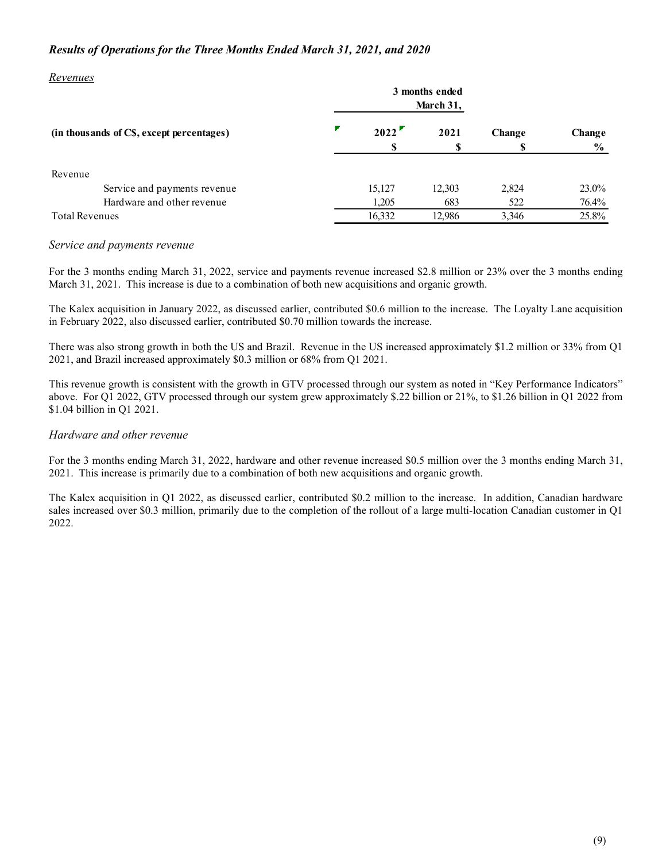### Results of Operations for the Three Months Ended March 31, 2021, and 2020

#### Revenues

| Results of Operations for the Three Months Ended March 31, 2021, and 2020 |                 |                |              |                          |
|---------------------------------------------------------------------------|-----------------|----------------|--------------|--------------------------|
|                                                                           |                 |                |              |                          |
| Revenues                                                                  |                 |                |              |                          |
|                                                                           |                 |                |              |                          |
|                                                                           |                 | 3 months ended |              |                          |
|                                                                           |                 | March 31,      |              |                          |
| (in thousands of C\$, except percentages)                                 | 2022            | 2021           | Change       |                          |
|                                                                           | \$              | \$             | S            | Change<br>$\frac{6}{10}$ |
|                                                                           |                 |                |              |                          |
| Revenue                                                                   |                 |                |              |                          |
| Service and payments revenue                                              | 15,127          | 12,303         | 2,824        |                          |
| Hardware and other revenue<br><b>Total Revenues</b>                       | 1,205<br>16,332 | 683<br>12,986  | 522<br>3,346 | 23.0%<br>76.4%<br>25.8%  |

#### Service and payments revenue

The Kalex acquisition in January 2022, as discussed earlier, contributed \$0.6 million to the increase. The Loyalty Lane acquisition in February 2022, also discussed earlier, contributed \$0.70 million towards the increase.

There was also strong growth in both the US and Brazil. Revenue in the US increased approximately \$1.2 million or 33% from Q1 2021, and Brazil increased approximately \$0.3 million or 68% from Q1 2021.

This revenue growth is consistent with the growth in GTV processed through our system as noted in "Key Performance Indicators" above. For Q1 2022, GTV processed through our system grew approximately \$.22 billion or 21%, to \$1.26 billion in Q1 2022 from \$1.04 billion in Q1 2021.

#### Hardware and other revenue

For the 3 months ending March 31, 2022, hardware and other revenue increased \$0.5 million over the 3 months ending March 31, 2021. This increase is primarily due to a combination of both new acquisitions and organic growth.

The Kalex acquisition in Q1 2022, as discussed earlier, contributed \$0.2 million to the increase. In addition, Canadian hardware sales increased over \$0.3 million, primarily due to the completion of the rollout of a large multi-location Canadian customer in Q1 2022.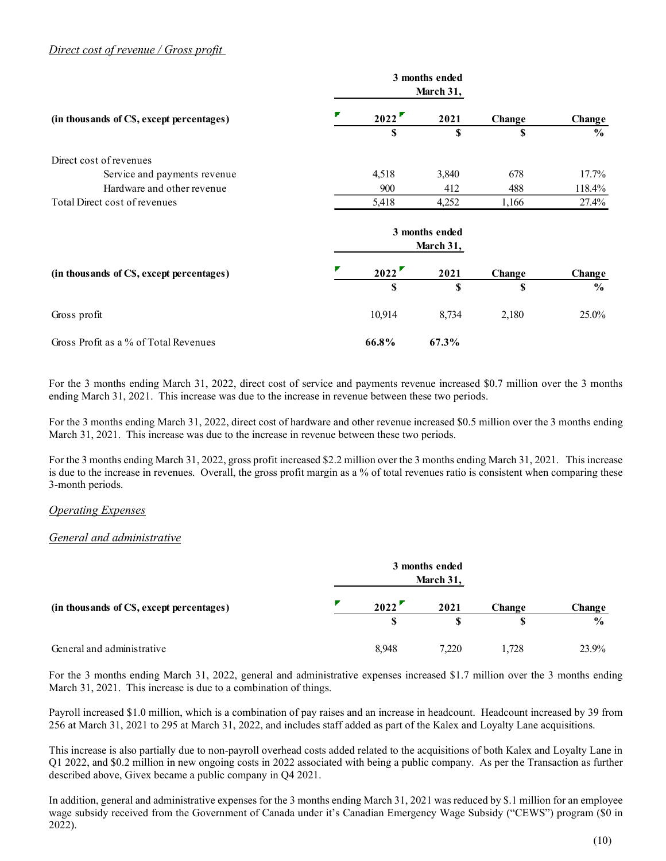### Direct cost of revenue / Gross profit

| Direct cost of revenue / Gross profit                       |        |              |                             |              |                 |
|-------------------------------------------------------------|--------|--------------|-----------------------------|--------------|-----------------|
|                                                             |        |              |                             |              |                 |
|                                                             |        |              | 3 months ended<br>March 31, |              |                 |
| (in thousands of C\$, except percentages)                   |        | 2022         | 2021                        | Change       | Change          |
|                                                             |        | \$           | $\mathbb{S}$                | $\mathbf S$  | $\frac{0}{0}$   |
| Direct cost of revenues                                     |        |              |                             |              |                 |
| Service and payments revenue                                |        | 4,518        | 3,840                       | 678          | 17.7%           |
| Hardware and other revenue<br>Total Direct cost of revenues |        | 900<br>5,418 | 412<br>4,252                | 488<br>1,166 | 118.4%<br>27.4% |
|                                                             |        |              |                             |              |                 |
|                                                             |        |              | 3 months ended<br>March 31, |              |                 |
| (in thousands of C\$, except percentages)                   |        | 2022         | 2021                        | Change       | Change          |
|                                                             |        | $\mathbf{s}$ | $\mathbf S$                 | S            | $\frac{0}{0}$   |
| Gross profit                                                | 10,914 |              | 8,734                       | 2,180        | 25.0%           |
|                                                             |        | 66.8%        | 67.3%                       |              |                 |

#### Operating Expenses

#### General and administrative

| Gross Profit as a % of Total Revenues                                                                                                                                                                                                                                                               | 66.8%    | 67.3%                       |        |               |
|-----------------------------------------------------------------------------------------------------------------------------------------------------------------------------------------------------------------------------------------------------------------------------------------------------|----------|-----------------------------|--------|---------------|
| For the 3 months ending March 31, 2022, direct cost of service and payments revenue increased \$0.7 million over the 3 months<br>ending March 31, 2021. This increase was due to the increase in revenue between these two periods.                                                                 |          |                             |        |               |
| For the 3 months ending March 31, 2022, direct cost of hardware and other revenue increased \$0.5 million over the 3 months ending<br>March 31, 2021. This increase was due to the increase in revenue between these two periods.                                                                   |          |                             |        |               |
| For the 3 months ending March 31, 2022, gross profit increased \$2.2 million over the 3 months ending March 31, 2021. This increase<br>is due to the increase in revenues. Overall, the gross profit margin as $a\%$ of total revenues ratio is consistent when comparing these<br>3-month periods. |          |                             |        |               |
| <b>Operating Expenses</b>                                                                                                                                                                                                                                                                           |          |                             |        |               |
| General and administrative                                                                                                                                                                                                                                                                          |          |                             |        |               |
|                                                                                                                                                                                                                                                                                                     |          | 3 months ended<br>March 31, |        |               |
| (in thousands of CS, except percentages)                                                                                                                                                                                                                                                            | 2022'    | 2021                        | Change | Change        |
|                                                                                                                                                                                                                                                                                                     | <b>S</b> | S                           | S      | $\frac{0}{0}$ |
| General and administrative                                                                                                                                                                                                                                                                          | 8,948    | 7,220                       | 1,728  | 23.9%         |
| For the 3 months ending March 31, 2022, general and administrative expenses increased \$1.7 million over the 3 months ending<br>March 31, 2021. This increase is due to a combination of things.                                                                                                    |          |                             |        |               |
| Payroll increased \$1.0 million, which is a combination of pay raises and an increase in headcount. Headcount increased by 39 from                                                                                                                                                                  |          |                             |        |               |

Payroll increased \$1.0 million, which is a combination of pay raises and an increase in headcount. Headcount increased by 39 from 256 at March 31, 2021 to 295 at March 31, 2022, and includes staff added as part of the Kalex and Loyalty Lane acquisitions.

This increase is also partially due to non-payroll overhead costs added related to the acquisitions of both Kalex and Loyalty Lane in Q1 2022, and \$0.2 million in new ongoing costs in 2022 associated with being a public company. As per the Transaction as further described above, Givex became a public company in Q4 2021.

In addition, general and administrative expenses for the 3 months ending March 31, 2021 was reduced by \$.1 million for an employee wage subsidy received from the Government of Canada under it's Canadian Emergency Wage Subsidy ("CEWS") program (\$0 in 2022).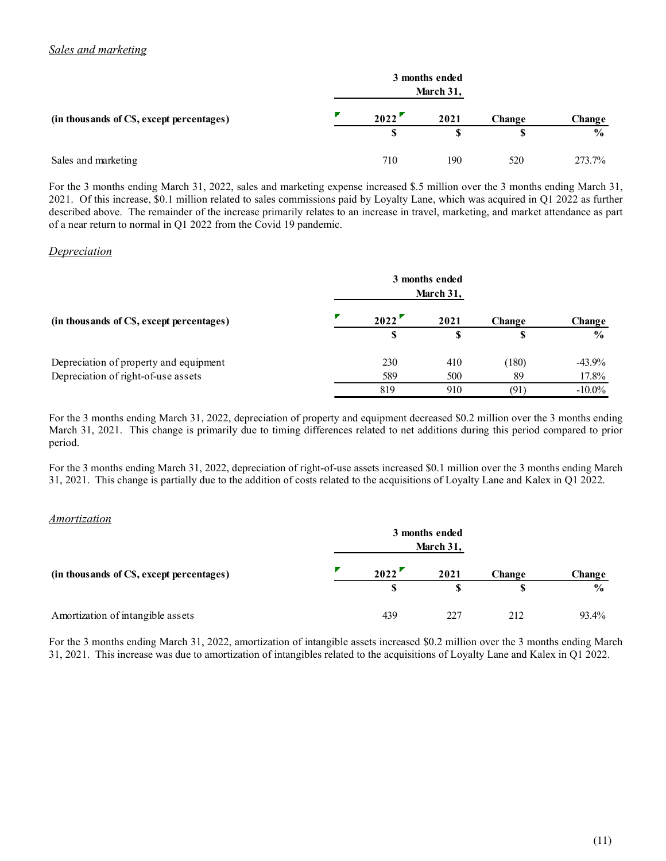| Sales and marketing                                                                                                                                                                                                                                                      |             |                |                    |                         |
|--------------------------------------------------------------------------------------------------------------------------------------------------------------------------------------------------------------------------------------------------------------------------|-------------|----------------|--------------------|-------------------------|
|                                                                                                                                                                                                                                                                          |             | 3 months ended |                    |                         |
|                                                                                                                                                                                                                                                                          |             | March 31,      |                    |                         |
| (in thousands of C\$, except percentages)                                                                                                                                                                                                                                | 2022        | 2021           |                    |                         |
|                                                                                                                                                                                                                                                                          | $\mathbf S$ | \$             | Change<br><b>S</b> | Change<br>$\frac{0}{0}$ |
| Sales and marketing                                                                                                                                                                                                                                                      | 710         | 190            | 520                | 273.7%                  |
| For the 3 months ending March 31, 2022, sales and marketing expense increased \$.5 million over the 3 months ending March 31,                                                                                                                                            |             |                |                    |                         |
| 2021. Of this increase, \$0.1 million related to sales commissions paid by Loyalty Lane, which was acquired in Q1 2022 as further<br>described above. The remainder of the increase primarily relates to an increase in travel, marketing, and market attendance as part |             |                |                    |                         |

### Depreciation

| 3 months ended<br>March 31,<br>2022<br>2021<br>Change<br>Change<br>$\mathbf S$<br>\$<br>\$<br>$\frac{6}{6}$<br>710<br>190<br>520<br>273.7%<br>3 months ended<br>March 31,<br>2022<br>2021<br>Change<br>Change<br>S<br>\$<br>\$<br>$\frac{6}{6}$<br>230<br>410<br>(180)<br>$-43.9%$<br>589<br>500<br>89<br>17.8%<br>910<br>819<br>(91)<br>$-10.0\%$<br>3 months ended<br>March 31,<br>2022<br>2021<br>Change<br>Change<br>$\frac{6}{9}$<br>S.<br>\$.<br>S<br>439<br>227<br>212<br>93.4%                                                                                                                                                                                                                                                                                                                                                                                                                                                                                                                                                                                | Sales and marketing                       |  |  |
|-----------------------------------------------------------------------------------------------------------------------------------------------------------------------------------------------------------------------------------------------------------------------------------------------------------------------------------------------------------------------------------------------------------------------------------------------------------------------------------------------------------------------------------------------------------------------------------------------------------------------------------------------------------------------------------------------------------------------------------------------------------------------------------------------------------------------------------------------------------------------------------------------------------------------------------------------------------------------------------------------------------------------------------------------------------------------|-------------------------------------------|--|--|
| For the 3 months ending March 31, 2022, sales and marketing expense increased \$.5 million over the 3 months ending March 31,<br>2021. Of this increase, \$0.1 million related to sales commissions paid by Loyalty Lane, which was acquired in Q1 2022 as further<br>described above. The remainder of the increase primarily relates to an increase in travel, marketing, and market attendance as part<br>of a near return to normal in Q1 2022 from the Covid 19 pandemic.<br>For the 3 months ending March 31, 2022, depreciation of property and equipment decreased \$0.2 million over the 3 months ending<br>March 31, 2021. This change is primarily due to timing differences related to net additions during this period compared to prior<br>For the 3 months ending March 31, 2022, depreciation of right-of-use assets increased \$0.1 million over the 3 months ending March<br>31, 2021. This change is partially due to the addition of costs related to the acquisitions of Loyalty Lane and Kalex in Q1 2022.<br>Amortization of intangible assets |                                           |  |  |
|                                                                                                                                                                                                                                                                                                                                                                                                                                                                                                                                                                                                                                                                                                                                                                                                                                                                                                                                                                                                                                                                       | (in thousands of CS, except percentages)  |  |  |
|                                                                                                                                                                                                                                                                                                                                                                                                                                                                                                                                                                                                                                                                                                                                                                                                                                                                                                                                                                                                                                                                       |                                           |  |  |
|                                                                                                                                                                                                                                                                                                                                                                                                                                                                                                                                                                                                                                                                                                                                                                                                                                                                                                                                                                                                                                                                       | Sales and marketing                       |  |  |
|                                                                                                                                                                                                                                                                                                                                                                                                                                                                                                                                                                                                                                                                                                                                                                                                                                                                                                                                                                                                                                                                       |                                           |  |  |
|                                                                                                                                                                                                                                                                                                                                                                                                                                                                                                                                                                                                                                                                                                                                                                                                                                                                                                                                                                                                                                                                       | <b>Depreciation</b>                       |  |  |
|                                                                                                                                                                                                                                                                                                                                                                                                                                                                                                                                                                                                                                                                                                                                                                                                                                                                                                                                                                                                                                                                       |                                           |  |  |
|                                                                                                                                                                                                                                                                                                                                                                                                                                                                                                                                                                                                                                                                                                                                                                                                                                                                                                                                                                                                                                                                       | (in thousands of CS, except percentages)  |  |  |
|                                                                                                                                                                                                                                                                                                                                                                                                                                                                                                                                                                                                                                                                                                                                                                                                                                                                                                                                                                                                                                                                       |                                           |  |  |
|                                                                                                                                                                                                                                                                                                                                                                                                                                                                                                                                                                                                                                                                                                                                                                                                                                                                                                                                                                                                                                                                       | Depreciation of property and equipment    |  |  |
|                                                                                                                                                                                                                                                                                                                                                                                                                                                                                                                                                                                                                                                                                                                                                                                                                                                                                                                                                                                                                                                                       | Depreciation of right-of-use assets       |  |  |
|                                                                                                                                                                                                                                                                                                                                                                                                                                                                                                                                                                                                                                                                                                                                                                                                                                                                                                                                                                                                                                                                       |                                           |  |  |
|                                                                                                                                                                                                                                                                                                                                                                                                                                                                                                                                                                                                                                                                                                                                                                                                                                                                                                                                                                                                                                                                       | period.                                   |  |  |
|                                                                                                                                                                                                                                                                                                                                                                                                                                                                                                                                                                                                                                                                                                                                                                                                                                                                                                                                                                                                                                                                       | <i>Amortization</i>                       |  |  |
|                                                                                                                                                                                                                                                                                                                                                                                                                                                                                                                                                                                                                                                                                                                                                                                                                                                                                                                                                                                                                                                                       |                                           |  |  |
|                                                                                                                                                                                                                                                                                                                                                                                                                                                                                                                                                                                                                                                                                                                                                                                                                                                                                                                                                                                                                                                                       | (in thousands of C\$, except percentages) |  |  |
|                                                                                                                                                                                                                                                                                                                                                                                                                                                                                                                                                                                                                                                                                                                                                                                                                                                                                                                                                                                                                                                                       |                                           |  |  |
|                                                                                                                                                                                                                                                                                                                                                                                                                                                                                                                                                                                                                                                                                                                                                                                                                                                                                                                                                                                                                                                                       |                                           |  |  |

#### Amortization

| (in thousands of CS, except percentages)                                                                                                                                                                                                                                                | 2022      | 2021           | Change      | Change                  |
|-----------------------------------------------------------------------------------------------------------------------------------------------------------------------------------------------------------------------------------------------------------------------------------------|-----------|----------------|-------------|-------------------------|
|                                                                                                                                                                                                                                                                                         | \$        | \$             | S           | $\frac{0}{0}$           |
| Depreciation of property and equipment                                                                                                                                                                                                                                                  | 230       | 410            | (180)       | $-43.9%$                |
| Depreciation of right-of-use assets                                                                                                                                                                                                                                                     | 589       | 500            | 89          | 17.8%                   |
|                                                                                                                                                                                                                                                                                         | 819       | 910            | (91)        | $-10.0\%$               |
| March 31, 2021. This change is primarily due to timing differences related to net additions during this period compared to prior<br>period.                                                                                                                                             |           |                |             |                         |
| For the 3 months ending March 31, 2022, depreciation of right-of-use assets increased \$0.1 million over the 3 months ending March<br>31, 2021. This change is partially due to the addition of costs related to the acquisitions of Loyalty Lane and Kalex in Q1 2022.<br>Amortization |           | 3 months ended |             |                         |
|                                                                                                                                                                                                                                                                                         |           | March 31,      |             |                         |
| (in thousands of CS, except percentages)                                                                                                                                                                                                                                                | 2022<br>S | 2021<br>\$     | Change<br>S | Change<br>$\frac{0}{0}$ |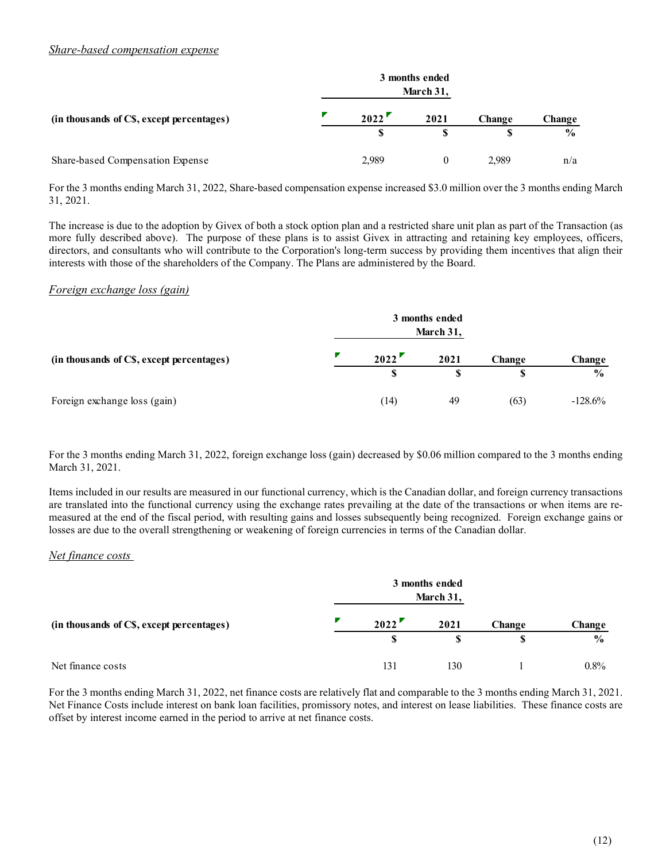### Share-based compensation expense

| Share-based compensation expense                                                                                                             |             |                             |              |                         |
|----------------------------------------------------------------------------------------------------------------------------------------------|-------------|-----------------------------|--------------|-------------------------|
|                                                                                                                                              |             | 3 months ended<br>March 31, |              |                         |
|                                                                                                                                              | 2022        | 2021                        |              |                         |
| (in thousands of CS, except percentages)                                                                                                     | $\mathbf S$ | $\boldsymbol{\mathsf{S}}$   | Change<br>\$ | Change<br>$\frac{0}{0}$ |
| Share-based Compensation Expense                                                                                                             | 2,989       | $\overline{0}$              | 2,989        | n/a                     |
| For the 3 months ending March 31, 2022, Share-based compensation expense increased \$3.0 million over the 3 months ending March<br>31, 2021. |             |                             |              |                         |

#### Foreign exchange loss (gain)

|                                                                                                                                                                                                                                                                                                                                                                                                                                                                                                                         |       | <b>3</b> months enged<br>March 31, |        |               |
|-------------------------------------------------------------------------------------------------------------------------------------------------------------------------------------------------------------------------------------------------------------------------------------------------------------------------------------------------------------------------------------------------------------------------------------------------------------------------------------------------------------------------|-------|------------------------------------|--------|---------------|
| (in thousands of CS, except percentages)                                                                                                                                                                                                                                                                                                                                                                                                                                                                                | 2022  | 2021                               | Change | Change        |
|                                                                                                                                                                                                                                                                                                                                                                                                                                                                                                                         | S     | S                                  | S      | $\frac{6}{9}$ |
| Share-based Compensation Expense                                                                                                                                                                                                                                                                                                                                                                                                                                                                                        | 2,989 | $\Omega$                           | 2,989  | n/a           |
| For the 3 months ending March 31, 2022, Share-based compensation expense increased \$3.0 million over the 3 months ending March<br>31, 2021.                                                                                                                                                                                                                                                                                                                                                                            |       |                                    |        |               |
| The increase is due to the adoption by Givex of both a stock option plan and a restricted share unit plan as part of the Transaction (as<br>more fully described above). The purpose of these plans is to assist Givex in attracting and retaining key employees, officers,<br>directors, and consultants who will contribute to the Corporation's long-term success by providing them incentives that align their<br>interests with those of the shareholders of the Company. The Plans are administered by the Board. |       |                                    |        |               |
| Foreign exchange loss (gain)                                                                                                                                                                                                                                                                                                                                                                                                                                                                                            |       |                                    |        |               |
|                                                                                                                                                                                                                                                                                                                                                                                                                                                                                                                         |       | 3 months ended<br>March 31,        |        |               |
| (in thousands of C\$, except percentages)                                                                                                                                                                                                                                                                                                                                                                                                                                                                               | 2022  | 2021                               | Change | Change        |
|                                                                                                                                                                                                                                                                                                                                                                                                                                                                                                                         | S     | \$                                 | S      | $\frac{6}{6}$ |
| Foreign exchange loss (gain)                                                                                                                                                                                                                                                                                                                                                                                                                                                                                            | (14)  | 49                                 | (63)   | $-128.6%$     |
|                                                                                                                                                                                                                                                                                                                                                                                                                                                                                                                         |       |                                    |        |               |
| For the 3 months ending March 31, 2022, foreign exchange loss (gain) decreased by \$0.06 million compared to the 3 months ending<br>March 31, 2021.                                                                                                                                                                                                                                                                                                                                                                     |       |                                    |        |               |

### Net finance costs

| (in thousands of CS, except percentages)                                                                                                                                                                                                                                                                                                                                                                                                                                                                                                                                                                                                                                                                             | 2022         | 2021                        | Change | Change<br>$\frac{0}{0}$ |
|----------------------------------------------------------------------------------------------------------------------------------------------------------------------------------------------------------------------------------------------------------------------------------------------------------------------------------------------------------------------------------------------------------------------------------------------------------------------------------------------------------------------------------------------------------------------------------------------------------------------------------------------------------------------------------------------------------------------|--------------|-----------------------------|--------|-------------------------|
| Foreign exchange loss (gain)                                                                                                                                                                                                                                                                                                                                                                                                                                                                                                                                                                                                                                                                                         | (14)         | 49                          | (63)   | $-128.6%$               |
| For the 3 months ending March 31, 2022, foreign exchange loss (gain) decreased by \$0.06 million compared to the 3 months ending<br>March 31, 2021.<br>Items included in our results are measured in our functional currency, which is the Canadian dollar, and foreign currency transactions<br>are translated into the functional currency using the exchange rates prevailing at the date of the transactions or when items are re-<br>measured at the end of the fiscal period, with resulting gains and losses subsequently being recognized. Foreign exchange gains or<br>losses are due to the overall strengthening or weakening of foreign currencies in terms of the Canadian dollar.<br>Net finance costs |              |                             |        |                         |
|                                                                                                                                                                                                                                                                                                                                                                                                                                                                                                                                                                                                                                                                                                                      |              | 3 months ended<br>March 31, |        |                         |
| (in thousands of CS, except percentages)                                                                                                                                                                                                                                                                                                                                                                                                                                                                                                                                                                                                                                                                             | 2022         | 2021                        | Change | Change                  |
|                                                                                                                                                                                                                                                                                                                                                                                                                                                                                                                                                                                                                                                                                                                      | $\mathbf{s}$ | S                           | S      | $\frac{0}{0}$           |
| Net finance costs                                                                                                                                                                                                                                                                                                                                                                                                                                                                                                                                                                                                                                                                                                    | 131          | 130                         |        | 0.8%                    |
| For the 3 months ending March 31, 2022, net finance costs are relatively flat and comparable to the 3 months ending March 31, 2021.<br>Net Finance Costs include interest on bank loan facilities, promissory notes, and interest on lease liabilities. These finance costs are<br>offset by interest income earned in the period to arrive at net finance costs.                                                                                                                                                                                                                                                                                                                                                    |              |                             |        |                         |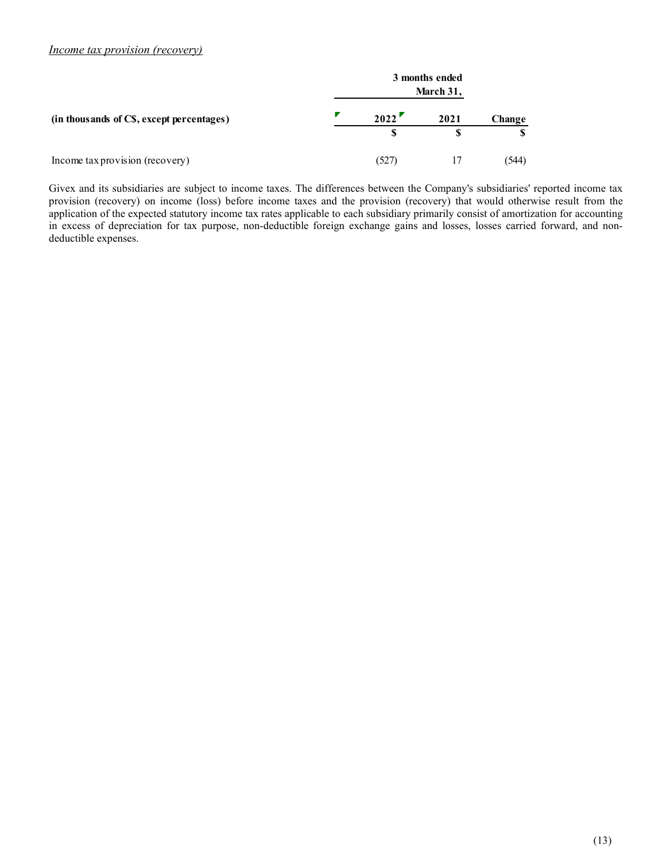#### Income tax provision (recovery)

| <i><u><b>Income tax provision (recovery)</b></u></i>                                                                                                                                                                                                                                                                                                                                                    |                     |                             |        |  |
|---------------------------------------------------------------------------------------------------------------------------------------------------------------------------------------------------------------------------------------------------------------------------------------------------------------------------------------------------------------------------------------------------------|---------------------|-----------------------------|--------|--|
|                                                                                                                                                                                                                                                                                                                                                                                                         |                     |                             |        |  |
|                                                                                                                                                                                                                                                                                                                                                                                                         |                     |                             |        |  |
|                                                                                                                                                                                                                                                                                                                                                                                                         |                     | 3 months ended<br>March 31, |        |  |
|                                                                                                                                                                                                                                                                                                                                                                                                         |                     |                             |        |  |
| (in thousands of CS, except percentages)                                                                                                                                                                                                                                                                                                                                                                | 2022<br>$\mathbf S$ | 2021<br>\$                  | Change |  |
| Income tax provision (recovery)                                                                                                                                                                                                                                                                                                                                                                         | (527)               | 17                          | (544)  |  |
|                                                                                                                                                                                                                                                                                                                                                                                                         |                     |                             |        |  |
| Givex and its subsidiaries are subject to income taxes. The differences between the Company's subsidiaries' reported income tax<br>provision (recovery) on income (loss) before income taxes and the provision (recovery) that would otherwise result from the<br>application of the expected statutory income tax rates applicable to each subsidiary primarily consist of amortization for accounting |                     |                             |        |  |

Givex and its subsidiaries are subject to income taxes. The differences between the Company's subsidiaries' reported income tax provision (recovery) on income (loss) before income taxes and the provision (recovery) that would otherwise result from the application of the expected statutory income tax rates applicable to each subsidiary primarily consist of amortization for accounting in excess of depreciation for tax purpose, non-deductible foreign exchange gains and losses, losses carried forward, and nondeductible expenses.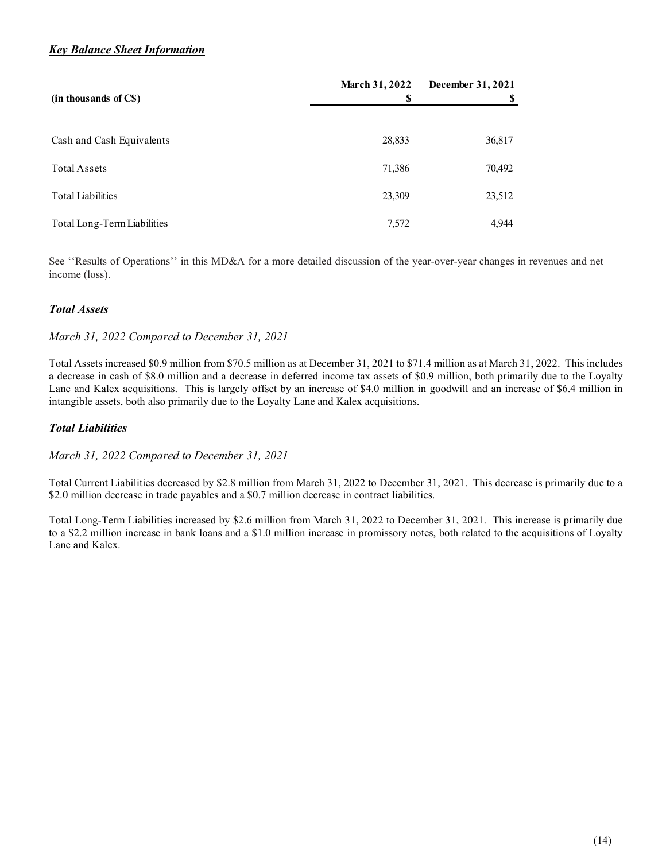# **Key Balance Sheet Information**

| <b>Key Balance Sheet Information</b> |                                                    |                   |
|--------------------------------------|----------------------------------------------------|-------------------|
| (in thousands of C\$)                | <b>March 31, 2022</b><br>$\boldsymbol{\mathsf{S}}$ | December 31, 2021 |
|                                      |                                                    |                   |
|                                      |                                                    | S                 |
| Cash and Cash Equivalents            | 28,833                                             | 36,817            |
| Total Assets                         | 71,386                                             | 70,492            |
| <b>Total Liabilities</b>             | 23,309                                             | 23,512            |
| Total Long-Term Liabilities          | 7,572                                              | 4,944             |

### Total Assets

### March 31, 2022 Compared to December 31, 2021

Total Assets increased \$0.9 million from \$70.5 million as at December 31, 2021 to \$71.4 million as at March 31, 2022. This includes a decrease in cash of \$8.0 million and a decrease in deferred income tax assets of \$0.9 million, both primarily due to the Loyalty Lane and Kalex acquisitions. This is largely offset by an increase of \$4.0 million in goodwill and an increase of \$6.4 million in intangible assets, both also primarily due to the Loyalty Lane and Kalex acquisitions.

### Total Liabilities

March 31, 2022 Compared to December 31, 2021

Total Current Liabilities decreased by \$2.8 million from March 31, 2022 to December 31, 2021. This decrease is primarily due to a \$2.0 million decrease in trade payables and a \$0.7 million decrease in contract liabilities.

Total Long-Term Liabilities increased by \$2.6 million from March 31, 2022 to December 31, 2021. This increase is primarily due to a \$2.2 million increase in bank loans and a \$1.0 million increase in promissory notes, both related to the acquisitions of Loyalty Lane and Kalex.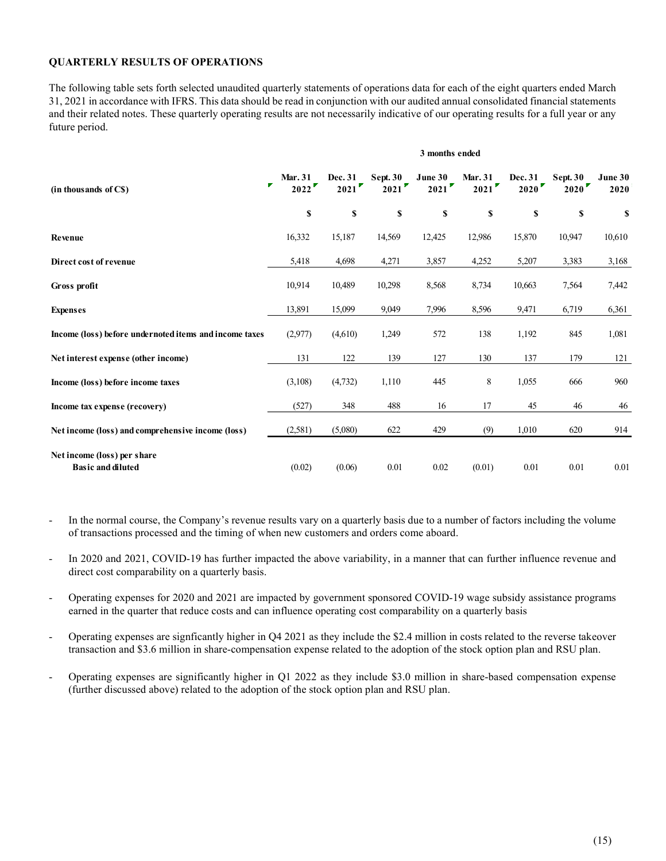#### QUARTERLY RESULTS OF OPERATIONS

| <b>QUARTERLY RESULTS OF OPERATIONS</b>                                                                                                                                                                                                                                      |                                                   |                 |                         |                 |                        |                        |                         |                 |
|-----------------------------------------------------------------------------------------------------------------------------------------------------------------------------------------------------------------------------------------------------------------------------|---------------------------------------------------|-----------------|-------------------------|-----------------|------------------------|------------------------|-------------------------|-----------------|
| The following table sets forth selected unaudited quarterly statements of operations data for each of the eight quarters ended March<br>31, 2021 in accordance with IFRS. This data should be read in conjunction with our audited annual consolidated financial statements |                                                   |                 |                         |                 |                        |                        |                         |                 |
| and their related notes. These quarterly operating results are not necessarily indicative of our operating results for a full year or any<br>future period.                                                                                                                 |                                                   |                 |                         |                 |                        |                        |                         |                 |
|                                                                                                                                                                                                                                                                             |                                                   |                 |                         | 3 months ended  |                        |                        |                         |                 |
| (in thousands of C\$)                                                                                                                                                                                                                                                       | <b>Mar. 31</b><br>$\overline{\mathbf{r}}$<br>2022 | Dec. 31<br>2021 | <b>Sept. 30</b><br>2021 | June 30<br>2021 | <b>Mar. 31</b><br>2021 | <b>Dec. 31</b><br>2020 | <b>Sept. 30</b><br>2020 | June 30<br>2020 |
|                                                                                                                                                                                                                                                                             | \$                                                | <b>S</b>        | S                       | <b>S</b>        | <b>S</b>               | $\mathbb S$            | $\mathbf S$             | \$              |
| Revenue                                                                                                                                                                                                                                                                     | 16,332                                            | 15,187          | 14,569                  | 12,425          | 12,986                 | 15,870                 | 10,947                  | 10,610          |
| Direct cost of revenue                                                                                                                                                                                                                                                      | 5,418                                             | 4,698           | 4,271                   | 3,857           | 4,252                  | 5,207                  | 3,383                   | 3,168           |
| Gross profit                                                                                                                                                                                                                                                                | 10,914                                            | 10,489          | 10,298                  | 8,568           | 8,734                  | 10,663                 | 7,564                   | 7,442           |
| <b>Expenses</b>                                                                                                                                                                                                                                                             | 13,891                                            | 15,099          | 9,049                   | 7,996           | 8,596                  | 9,471                  | 6,719                   | 6,361           |
| Income (loss) before undernoted items and income taxes                                                                                                                                                                                                                      | (2,977)                                           | (4,610)         | 1,249                   | 572             | 138                    | 1,192                  | 845                     | 1,081           |
| Net interest expense (other income)                                                                                                                                                                                                                                         | 131                                               | 122             | 139                     | 127             | 130                    | 137                    | 179                     | 121             |
| Income (loss) before income taxes                                                                                                                                                                                                                                           | (3,108)                                           | (4, 732)        | 1,110                   | 445             | 8                      | 1,055                  | 666                     | 960             |
| Income tax expense (recovery)                                                                                                                                                                                                                                               | (527)                                             | 348             | 488                     | 16              | 17                     | 45                     | 46                      | 46              |
| Net income (loss) and comprehensive income (loss)                                                                                                                                                                                                                           | (2,581)                                           | (5,080)         | 622                     | 429             | (9)                    | 1,010                  | 620                     | 914             |
| Net income (loss) per share<br><b>Basic and diluted</b>                                                                                                                                                                                                                     | (0.02)                                            | (0.06)          | 0.01                    | 0.02            | (0.01)                 | 0.01                   | 0.01                    | $0.01\,$        |

- In the normal course, the Company's revenue results vary on a quarterly basis due to a number of factors including the volume of transactions processed and the timing of when new customers and orders come aboard.
- In 2020 and 2021, COVID-19 has further impacted the above variability, in a manner that can further influence revenue and direct cost comparability on a quarterly basis.
- Operating expenses for 2020 and 2021 are impacted by government sponsored COVID-19 wage subsidy assistance programs earned in the quarter that reduce costs and can influence operating cost comparability on a quarterly basis
- Operating expenses are signficantly higher in Q4 2021 as they include the \$2.4 million in costs related to the reverse takeover transaction and \$3.6 million in share-compensation expense related to the adoption of the stock option plan and RSU plan.
- Operating expenses are significantly higher in Q1 2022 as they include \$3.0 million in share-based compensation expense (further discussed above) related to the adoption of the stock option plan and RSU plan.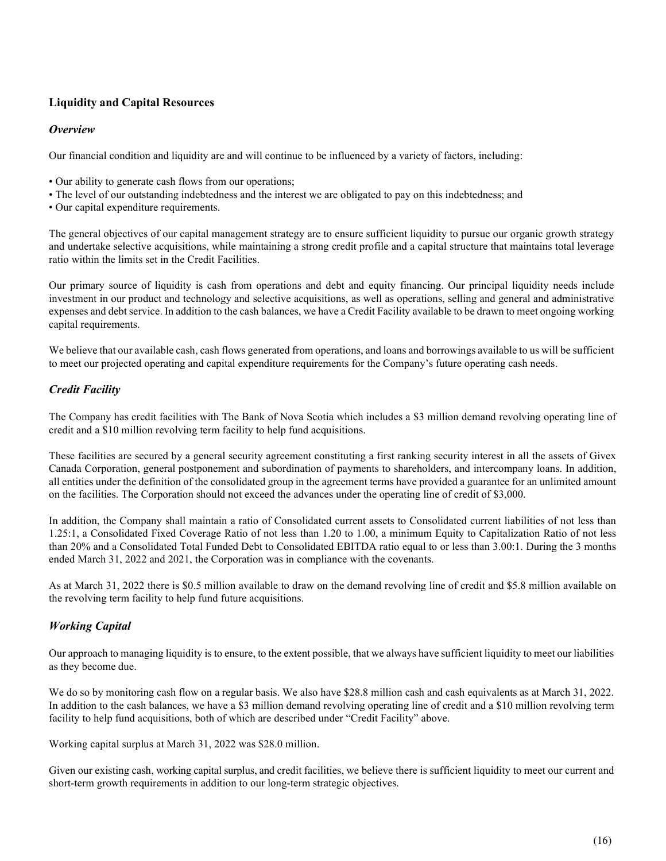# Liquidity and Capital Resources

### **Overview**

Our financial condition and liquidity are and will continue to be influenced by a variety of factors, including:

- Our ability to generate cash flows from our operations;
- The level of our outstanding indebtedness and the interest we are obligated to pay on this indebtedness; and
- Our capital expenditure requirements.

The general objectives of our capital management strategy are to ensure sufficient liquidity to pursue our organic growth strategy and undertake selective acquisitions, while maintaining a strong credit profile and a capital structure that maintains total leverage ratio within the limits set in the Credit Facilities.

Our primary source of liquidity is cash from operations and debt and equity financing. Our principal liquidity needs include investment in our product and technology and selective acquisitions, as well as operations, selling and general and administrative expenses and debt service. In addition to the cash balances, we have a Credit Facility available to be drawn to meet ongoing working capital requirements.

We believe that our available cash, cash flows generated from operations, and loans and borrowings available to us will be sufficient to meet our projected operating and capital expenditure requirements for the Company's future operating cash needs.

# Credit Facility

The Company has credit facilities with The Bank of Nova Scotia which includes a \$3 million demand revolving operating line of credit and a \$10 million revolving term facility to help fund acquisitions.

These facilities are secured by a general security agreement constituting a first ranking security interest in all the assets of Givex Canada Corporation, general postponement and subordination of payments to shareholders, and intercompany loans. In addition, all entities under the definition of the consolidated group in the agreement terms have provided a guarantee for an unlimited amount on the facilities. The Corporation should not exceed the advances under the operating line of credit of \$3,000.

In addition, the Company shall maintain a ratio of Consolidated current assets to Consolidated current liabilities of not less than 1.25:1, a Consolidated Fixed Coverage Ratio of not less than 1.20 to 1.00, a minimum Equity to Capitalization Ratio of not less than 20% and a Consolidated Total Funded Debt to Consolidated EBITDA ratio equal to or less than 3.00:1. During the 3 months ended March 31, 2022 and 2021, the Corporation was in compliance with the covenants.

As at March 31, 2022 there is \$0.5 million available to draw on the demand revolving line of credit and \$5.8 million available on the revolving term facility to help fund future acquisitions.

# Working Capital

Our approach to managing liquidity is to ensure, to the extent possible, that we always have sufficient liquidity to meet our liabilities as they become due.

We do so by monitoring cash flow on a regular basis. We also have \$28.8 million cash and cash equivalents as at March 31, 2022. In addition to the cash balances, we have a \$3 million demand revolving operating line of credit and a \$10 million revolving term facility to help fund acquisitions, both of which are described under "Credit Facility" above.

Working capital surplus at March 31, 2022 was \$28.0 million.

Given our existing cash, working capital surplus, and credit facilities, we believe there is sufficient liquidity to meet our current and short-term growth requirements in addition to our long-term strategic objectives.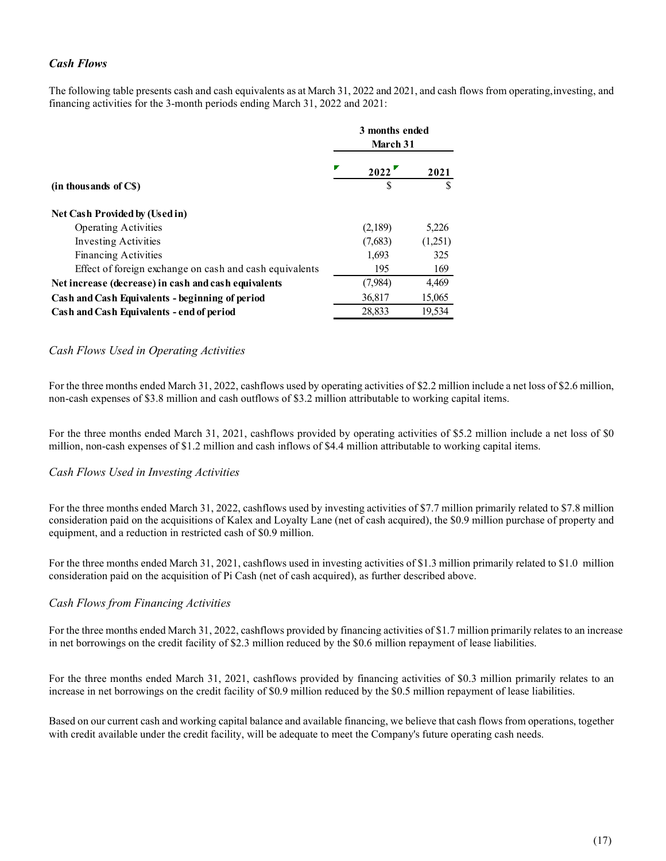# Cash Flows

| <b>Cash Flows</b>                                                            |                |         |
|------------------------------------------------------------------------------|----------------|---------|
| financing activities for the 3-month periods ending March 31, 2022 and 2021: | 3 months ended |         |
|                                                                              | March 31       |         |
|                                                                              | 2022           | 2021    |
| (in thousands of C\$)                                                        |                |         |
|                                                                              |                |         |
| Net Cash Provided by (Used in)<br><b>Operating Activities</b>                | (2,189)        | 5,226   |
| <b>Investing Activities</b>                                                  | (7,683)        | (1,251) |
| Financing Activities                                                         | 1,693          | 325     |
| Effect of foreign exchange on cash and cash equivalents                      | 195            | 169     |
| Net increase (decrease) in cash and cash equivalents                         | (7,984)        | 4,469   |
| Cash and Cash Equivalents - beginning of period                              | 36,817         | 15,065  |

### Cash Flows Used in Operating Activities

For the three months ended March 31, 2022, cashflows used by operating activities of \$2.2 million include a net loss of \$2.6 million, non-cash expenses of \$3.8 million and cash outflows of \$3.2 million attributable to working capital items.

For the three months ended March 31, 2021, cashflows provided by operating activities of \$5.2 million include a net loss of \$0 million, non-cash expenses of \$1.2 million and cash inflows of \$4.4 million attributable to working capital items.

#### Cash Flows Used in Investing Activities

For the three months ended March 31, 2022, cashflows used by investing activities of \$7.7 million primarily related to \$7.8 million consideration paid on the acquisitions of Kalex and Loyalty Lane (net of cash acquired), the \$0.9 million purchase of property and equipment, and a reduction in restricted cash of \$0.9 million.

For the three months ended March 31, 2021, cashflows used in investing activities of \$1.3 million primarily related to \$1.0 million consideration paid on the acquisition of Pi Cash (net of cash acquired), as further described above.

#### Cash Flows from Financing Activities

For the three months ended March 31, 2022, cashflows provided by financing activities of \$1.7 million primarily relates to an increase in net borrowings on the credit facility of \$2.3 million reduced by the \$0.6 million repayment of lease liabilities.

For the three months ended March 31, 2021, cashflows provided by financing activities of \$0.3 million primarily relates to an increase in net borrowings on the credit facility of \$0.9 million reduced by the \$0.5 million repayment of lease liabilities.

Based on our current cash and working capital balance and available financing, we believe that cash flows from operations, together with credit available under the credit facility, will be adequate to meet the Company's future operating cash needs.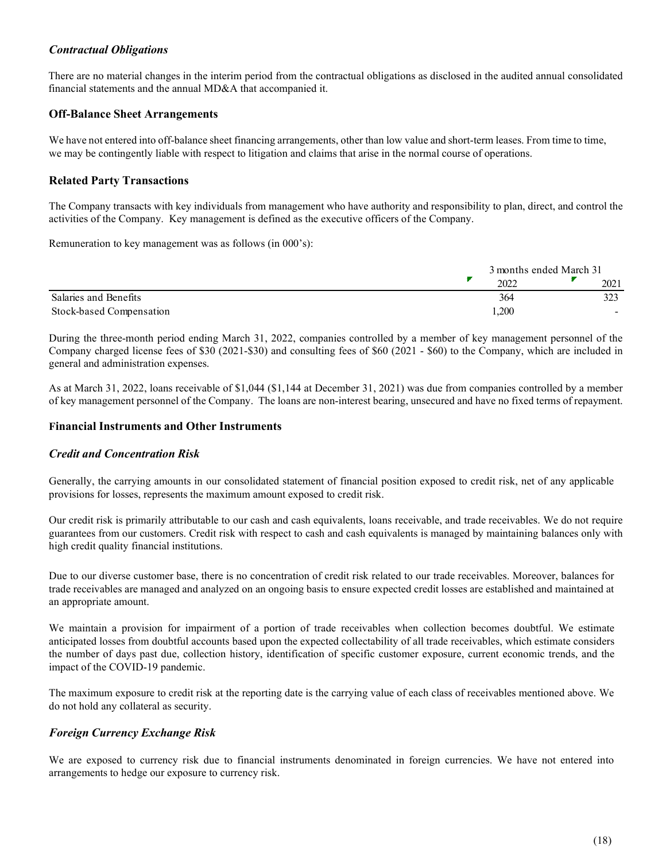### Contractual Obligations

### Off-Balance Sheet Arrangements

# Related Party Transactions

| <b>Contractual Obligations</b>                                                                                                                                                                                                      |                         |      |
|-------------------------------------------------------------------------------------------------------------------------------------------------------------------------------------------------------------------------------------|-------------------------|------|
| There are no material changes in the interim period from the contractual obligations as disclosed in the audited annual consolidated<br>financial statements and the annual MD&A that accompanied it.                               |                         |      |
| <b>Off-Balance Sheet Arrangements</b>                                                                                                                                                                                               |                         |      |
| We have not entered into off-balance sheet financing arrangements, other than low value and short-term leases. From time to time,                                                                                                   |                         |      |
| we may be contingently liable with respect to litigation and claims that arise in the normal course of operations.                                                                                                                  |                         |      |
| <b>Related Party Transactions</b>                                                                                                                                                                                                   |                         |      |
| The Company transacts with key individuals from management who have authority and responsibility to plan, direct, and control the<br>activities of the Company. Key management is defined as the executive officers of the Company. |                         |      |
| Remuneration to key management was as follows (in 000's):                                                                                                                                                                           |                         |      |
|                                                                                                                                                                                                                                     | 3 months ended March 31 |      |
|                                                                                                                                                                                                                                     | 2022                    | 2021 |
| Salaries and Benefits                                                                                                                                                                                                               | 364                     | 323  |

As at March 31, 2022, loans receivable of \$1,044 (\$1,144 at December 31, 2021) was due from companies controlled by a member of key management personnel of the Company. The loans are non-interest bearing, unsecured and have no fixed terms of repayment.

### Financial Instruments and Other Instruments

### Credit and Concentration Risk

Generally, the carrying amounts in our consolidated statement of financial position exposed to credit risk, net of any applicable provisions for losses, represents the maximum amount exposed to credit risk.

Our credit risk is primarily attributable to our cash and cash equivalents, loans receivable, and trade receivables. We do not require guarantees from our customers. Credit risk with respect to cash and cash equivalents is managed by maintaining balances only with high credit quality financial institutions.

Due to our diverse customer base, there is no concentration of credit risk related to our trade receivables. Moreover, balances for trade receivables are managed and analyzed on an ongoing basis to ensure expected credit losses are established and maintained at an appropriate amount.

We maintain a provision for impairment of a portion of trade receivables when collection becomes doubtful. We estimate anticipated losses from doubtful accounts based upon the expected collectability of all trade receivables, which estimate considers the number of days past due, collection history, identification of specific customer exposure, current economic trends, and the impact of the COVID-19 pandemic.

The maximum exposure to credit risk at the reporting date is the carrying value of each class of receivables mentioned above. We do not hold any collateral as security.

### Foreign Currency Exchange Risk

We are exposed to currency risk due to financial instruments denominated in foreign currencies. We have not entered into arrangements to hedge our exposure to currency risk.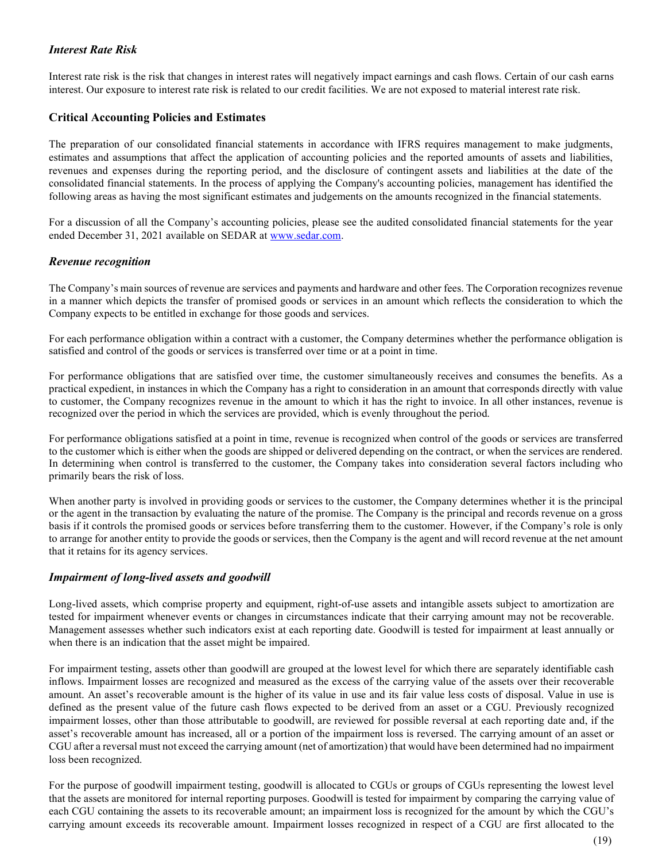# Interest Rate Risk

Interest rate risk is the risk that changes in interest rates will negatively impact earnings and cash flows. Certain of our cash earns interest. Our exposure to interest rate risk is related to our credit facilities. We are not exposed to material interest rate risk.

# Critical Accounting Policies and Estimates

The preparation of our consolidated financial statements in accordance with IFRS requires management to make judgments, estimates and assumptions that affect the application of accounting policies and the reported amounts of assets and liabilities, revenues and expenses during the reporting period, and the disclosure of contingent assets and liabilities at the date of the consolidated financial statements. In the process of applying the Company's accounting policies, management has identified the following areas as having the most significant estimates and judgements on the amounts recognized in the financial statements.

For a discussion of all the Company's accounting policies, please see the audited consolidated financial statements for the year ended December 31, 2021 available on SEDAR at www.sedar.com.

### Revenue recognition

The Company's main sources of revenue are services and payments and hardware and other fees. The Corporation recognizes revenue in a manner which depicts the transfer of promised goods or services in an amount which reflects the consideration to which the Company expects to be entitled in exchange for those goods and services.

For each performance obligation within a contract with a customer, the Company determines whether the performance obligation is satisfied and control of the goods or services is transferred over time or at a point in time.

For performance obligations that are satisfied over time, the customer simultaneously receives and consumes the benefits. As a practical expedient, in instances in which the Company has a right to consideration in an amount that corresponds directly with value to customer, the Company recognizes revenue in the amount to which it has the right to invoice. In all other instances, revenue is recognized over the period in which the services are provided, which is evenly throughout the period.

For performance obligations satisfied at a point in time, revenue is recognized when control of the goods or services are transferred to the customer which is either when the goods are shipped or delivered depending on the contract, or when the services are rendered. In determining when control is transferred to the customer, the Company takes into consideration several factors including who primarily bears the risk of loss.

When another party is involved in providing goods or services to the customer, the Company determines whether it is the principal or the agent in the transaction by evaluating the nature of the promise. The Company is the principal and records revenue on a gross basis if it controls the promised goods or services before transferring them to the customer. However, if the Company's role is only to arrange for another entity to provide the goods or services, then the Company is the agent and will record revenue at the net amount that it retains for its agency services.

### Impairment of long-lived assets and goodwill

Long-lived assets, which comprise property and equipment, right-of-use assets and intangible assets subject to amortization are tested for impairment whenever events or changes in circumstances indicate that their carrying amount may not be recoverable. Management assesses whether such indicators exist at each reporting date. Goodwill is tested for impairment at least annually or when there is an indication that the asset might be impaired.

For impairment testing, assets other than goodwill are grouped at the lowest level for which there are separately identifiable cash inflows. Impairment losses are recognized and measured as the excess of the carrying value of the assets over their recoverable amount. An asset's recoverable amount is the higher of its value in use and its fair value less costs of disposal. Value in use is defined as the present value of the future cash flows expected to be derived from an asset or a CGU. Previously recognized impairment losses, other than those attributable to goodwill, are reviewed for possible reversal at each reporting date and, if the asset's recoverable amount has increased, all or a portion of the impairment loss is reversed. The carrying amount of an asset or CGU after a reversal must not exceed the carrying amount (net of amortization) that would have been determined had no impairment loss been recognized.

For the purpose of goodwill impairment testing, goodwill is allocated to CGUs or groups of CGUs representing the lowest level that the assets are monitored for internal reporting purposes. Goodwill is tested for impairment by comparing the carrying value of each CGU containing the assets to its recoverable amount; an impairment loss is recognized for the amount by which the CGU's carrying amount exceeds its recoverable amount. Impairment losses recognized in respect of a CGU are first allocated to the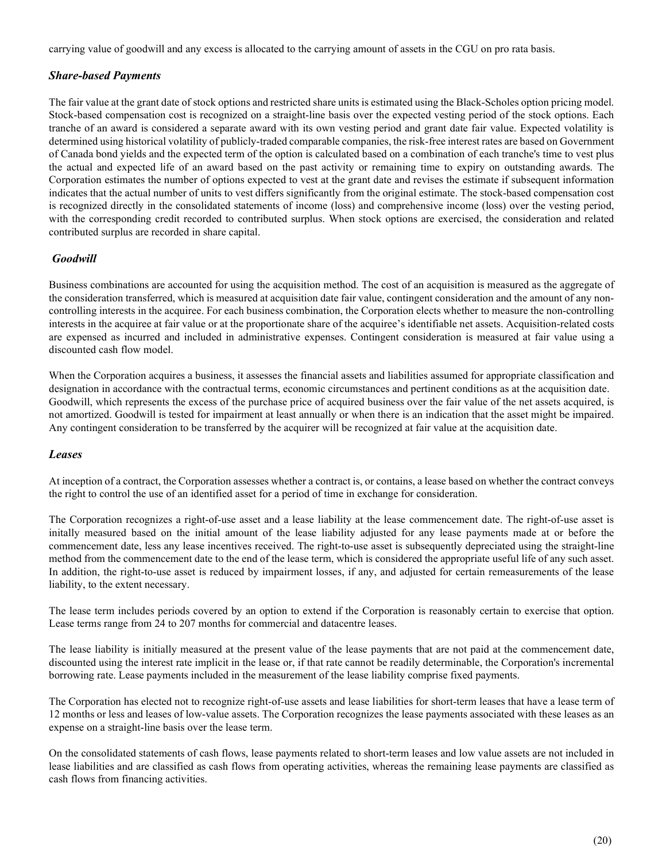carrying value of goodwill and any excess is allocated to the carrying amount of assets in the CGU on pro rata basis.

### Share-based Payments

The fair value at the grant date of stock options and restricted share units is estimated using the Black-Scholes option pricing model. Stock-based compensation cost is recognized on a straight-line basis over the expected vesting period of the stock options. Each tranche of an award is considered a separate award with its own vesting period and grant date fair value. Expected volatility is determined using historical volatility of publicly-traded comparable companies, the risk-free interest rates are based on Government of Canada bond yields and the expected term of the option is calculated based on a combination of each tranche's time to vest plus the actual and expected life of an award based on the past activity or remaining time to expiry on outstanding awards. The Corporation estimates the number of options expected to vest at the grant date and revises the estimate if subsequent information indicates that the actual number of units to vest differs significantly from the original estimate. The stock-based compensation cost is recognized directly in the consolidated statements of income (loss) and comprehensive income (loss) over the vesting period, with the corresponding credit recorded to contributed surplus. When stock options are exercised, the consideration and related contributed surplus are recorded in share capital.

### **Goodwill**

Business combinations are accounted for using the acquisition method. The cost of an acquisition is measured as the aggregate of the consideration transferred, which is measured at acquisition date fair value, contingent consideration and the amount of any noncontrolling interests in the acquiree. For each business combination, the Corporation elects whether to measure the non-controlling interests in the acquiree at fair value or at the proportionate share of the acquiree's identifiable net assets. Acquisition-related costs are expensed as incurred and included in administrative expenses. Contingent consideration is measured at fair value using a discounted cash flow model.

When the Corporation acquires a business, it assesses the financial assets and liabilities assumed for appropriate classification and designation in accordance with the contractual terms, economic circumstances and pertinent conditions as at the acquisition date. Goodwill, which represents the excess of the purchase price of acquired business over the fair value of the net assets acquired, is not amortized. Goodwill is tested for impairment at least annually or when there is an indication that the asset might be impaired. Any contingent consideration to be transferred by the acquirer will be recognized at fair value at the acquisition date.

#### Leases

At inception of a contract, the Corporation assesses whether a contract is, or contains, a lease based on whether the contract conveys the right to control the use of an identified asset for a period of time in exchange for consideration.

The Corporation recognizes a right-of-use asset and a lease liability at the lease commencement date. The right-of-use asset is initally measured based on the initial amount of the lease liability adjusted for any lease payments made at or before the commencement date, less any lease incentives received. The right-to-use asset is subsequently depreciated using the straight-line method from the commencement date to the end of the lease term, which is considered the appropriate useful life of any such asset. In addition, the right-to-use asset is reduced by impairment losses, if any, and adjusted for certain remeasurements of the lease liability, to the extent necessary.

The lease term includes periods covered by an option to extend if the Corporation is reasonably certain to exercise that option. Lease terms range from 24 to 207 months for commercial and datacentre leases.

The lease liability is initially measured at the present value of the lease payments that are not paid at the commencement date, discounted using the interest rate implicit in the lease or, if that rate cannot be readily determinable, the Corporation's incremental borrowing rate. Lease payments included in the measurement of the lease liability comprise fixed payments.

The Corporation has elected not to recognize right-of-use assets and lease liabilities for short-term leases that have a lease term of 12 months or less and leases of low-value assets. The Corporation recognizes the lease payments associated with these leases as an expense on a straight-line basis over the lease term.

On the consolidated statements of cash flows, lease payments related to short-term leases and low value assets are not included in lease liabilities and are classified as cash flows from operating activities, whereas the remaining lease payments are classified as cash flows from financing activities.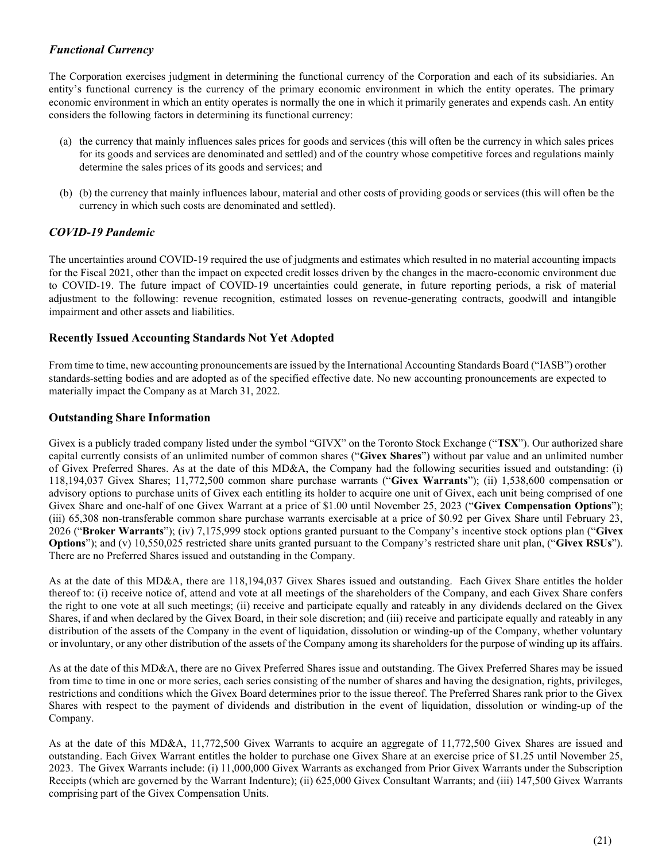# Functional Currency

The Corporation exercises judgment in determining the functional currency of the Corporation and each of its subsidiaries. An entity's functional currency is the currency of the primary economic environment in which the entity operates. The primary economic environment in which an entity operates is normally the one in which it primarily generates and expends cash. An entity considers the following factors in determining its functional currency:

- (a) the currency that mainly influences sales prices for goods and services (this will often be the currency in which sales prices for its goods and services are denominated and settled) and of the country whose competitive forces and regulations mainly determine the sales prices of its goods and services; and
- (b) (b) the currency that mainly influences labour, material and other costs of providing goods or services (this will often be the currency in which such costs are denominated and settled).

# COVID-19 Pandemic

The uncertainties around COVID-19 required the use of judgments and estimates which resulted in no material accounting impacts for the Fiscal 2021, other than the impact on expected credit losses driven by the changes in the macro- economic environment due to COVID-19. The future impact of COVID-19 uncertainties could generate, in future reporting periods, a risk of material adjustment to the following: revenue recognition, estimated losses on revenue-generating contracts, goodwill and intangible impairment and other assets and liabilities.

### Recently Issued Accounting Standards Not Yet Adopted

From time to time, new accounting pronouncements are issued by the International Accounting Standards Board ("IASB") or other standards-setting bodies and are adopted as of the specified effective date. No new accounting pronouncements are expected to materially impact the Company as at March 31, 2022.

### Outstanding Share Information

Givex is a publicly traded company listed under the symbol "GIVX" on the Toronto Stock Exchange ("TSX"). Our authorized share capital currently consists of an unlimited number of common shares ("Givex Shares") without par value and an unlimited number of Givex Preferred Shares. As at the date of this MD&A, the Company had the following securities issued and outstanding: (i) 118,194,037 Givex Shares; 11,772,500 common share purchase warrants ("Givex Warrants"); (ii) 1,538,600 compensation or advisory options to purchase units of Givex each entitling its holder to acquire one unit of Givex, each unit being comprised of one Givex Share and one-half of one Givex Warrant at a price of \$1.00 until November 25, 2023 ("Givex Compensation Options"); (iii) 65,308 non-transferable common share purchase warrants exercisable at a price of \$0.92 per Givex Share until February 23, 2026 ("Broker Warrants"); (iv) 7,175,999 stock options granted pursuant to the Company's incentive stock options plan ("Givex Options"); and (v) 10,550,025 restricted share units granted pursuant to the Company's restricted share unit plan, ("Givex RSUs"). There are no Preferred Shares issued and outstanding in the Company.

As at the date of this MD&A, there are 118,194,037 Givex Shares issued and outstanding. Each Givex Share entitles the holder thereof to: (i) receive notice of, attend and vote at all meetings of the shareholders of the Company, and each Givex Share confers the right to one vote at all such meetings; (ii) receive and participate equally and rateably in any dividends declared on the Givex Shares, if and when declared by the Givex Board, in their sole discretion; and (iii) receive and participate equally and rateably in any distribution of the assets of the Company in the event of liquidation, dissolution or winding-up of the Company, whether voluntary or involuntary, or any other distribution of the assets of the Company among its shareholders for the purpose of winding up its affairs.

As at the date of this MD&A, there are no Givex Preferred Shares issue and outstanding. The Givex Preferred Shares may be issued from time to time in one or more series, each series consisting of the number of shares and having the designation, rights, privileges, restrictions and conditions which the Givex Board determines prior to the issue thereof. The Preferred Shares rank prior to the Givex Shares with respect to the payment of dividends and distribution in the event of liquidation, dissolution or winding-up of the Company.

As at the date of this MD&A, 11,772,500 Givex Warrants to acquire an aggregate of 11,772,500 Givex Shares are issued and outstanding. Each Givex Warrant entitles the holder to purchase one Givex Share at an exercise price of \$1.25 until November 25, 2023. The Givex Warrants include: (i) 11,000,000 Givex Warrants as exchanged from Prior Givex Warrants under the Subscription Receipts (which are governed by the Warrant Indenture); (ii) 625,000 Givex Consultant Warrants; and (iii) 147,500 Givex Warrants comprising part of the Givex Compensation Units.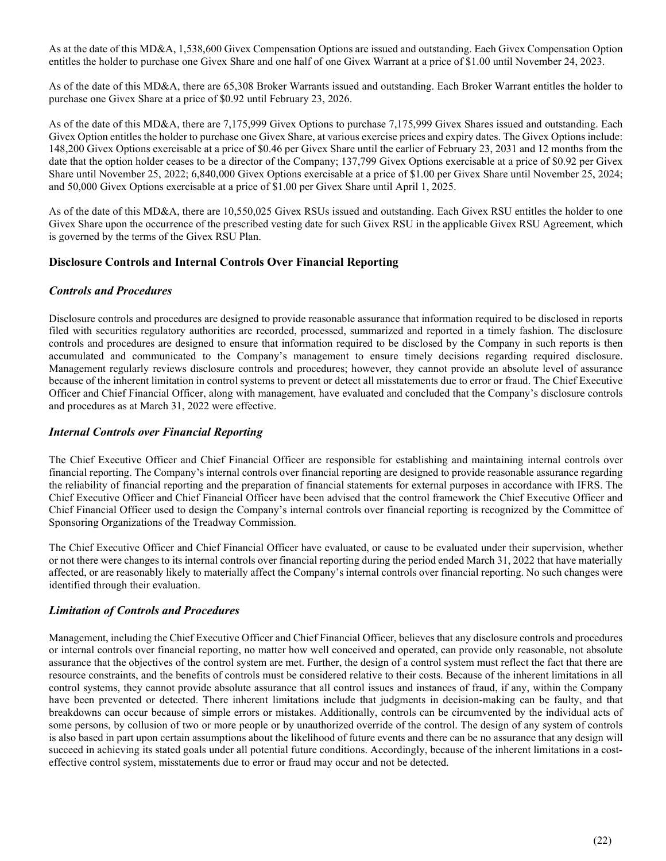As at the date of this MD&A, 1,538,600 Givex Compensation Options are issued and outstanding. Each Givex Compensation Option entitles the holder to purchase one Givex Share and one half of one Givex Warrant at a price of \$1.00 until November 24, 2023.

As of the date of this MD&A, there are 65,308 Broker Warrants issued and outstanding. Each Broker Warrant entitles the holder to purchase one Givex Share at a price of \$0.92 until February 23, 2026.

As of the date of this MD&A, there are 7,175,999 Givex Options to purchase 7,175,999 Givex Shares issued and outstanding. Each Givex Option entitles the holder to purchase one Givex Share, at various exercise prices and expiry dates. The Givex Options include: 148,200 Givex Options exercisable at a price of \$0.46 per Givex Share until the earlier of February 23, 2031 and 12 months from the date that the option holder ceases to be a director of the Company; 137,799 Givex Options exercisable at a price of \$0.92 per Givex Share until November 25, 2022; 6,840,000 Givex Options exercisable at a price of \$1.00 per Givex Share until November 25, 2024; and 50,000 Givex Options exercisable at a price of \$1.00 per Givex Share until April 1, 2025.

As of the date of this MD&A, there are 10,550,025 Givex RSUs issued and outstanding. Each Givex RSU entitles the holder to one Givex Share upon the occurrence of the prescribed vesting date for such Givex RSU in the applicable Givex RSU Agreement, which is governed by the terms of the Givex RSU Plan.

### Disclosure Controls and Internal Controls Over Financial Reporting

### Controls and Procedures

Disclosure controls and procedures are designed to provide reasonable assurance that information required to be disclosed in reports filed with securities regulatory authorities are recorded, processed, summarized and reported in a timely fashion. The disclosure controls and procedures are designed to ensure that information required to be disclosed by the Company in such reports is then accumulated and communicated to the Company's management to ensure timely decisions regarding required disclosure. Management regularly reviews disclosure controls and procedures; however, they cannot provide an absolute level of assurance because of the inherent limitation in control systems to prevent or detect all misstatements due to error or fraud. The Chief Executive Officer and Chief Financial Officer, along with management, have evaluated and concluded that the Company's disclosure controls and procedures as at March 31, 2022 were effective.

### Internal Controls over Financial Reporting

The Chief Executive Officer and Chief Financial Officer are responsible for establishing and maintaining internal controls over financial reporting. The Company's internal controls over financial reporting are designed to provide reasonable assurance regarding the reliability of financial reporting and the preparation of financial statements for external purposes in accordance with IFRS. The Chief Executive Officer and Chief Financial Officer have been advised that the control framework the Chief Executive Officer and Chief Financial Officer used to design the Company's internal controls over financial reporting is recognized by the Committee of Sponsoring Organizations of the Treadway Commission.

The Chief Executive Officer and Chief Financial Officer have evaluated, or cause to be evaluated under their supervision, whether or not there were changes to its internal controls over financial reporting during the period ended March 31, 2022 that have materially affected, or are reasonably likely to materially affect the Company's internal controls over financial reporting. No such changes were identified through their evaluation.

### Limitation of Controls and Procedures

Management, including the Chief Executive Officer and Chief Financial Officer, believes that any disclosure controls and procedures or internal controls over financial reporting, no matter how well conceived and operated, can provide only reasonable, not absolute assurance that the objectives of the control system are met. Further, the design of a control system must reflect the fact that there are resource constraints, and the benefits of controls must be considered relative to their costs. Because of the inherent limitations in all control systems, they cannot provide absolute assurance that all control issues and instances of fraud, if any, within the Company have been prevented or detected. There inherent limitations include that judgments in decision-making can be faulty, and that breakdowns can occur because of simple errors or mistakes. Additionally, controls can be circumvented by the individual acts of some persons, by collusion of two or more people or by unauthorized override of the control. The design of any system of controls is also based in part upon certain assumptions about the likelihood of future events and there can be no assurance that any design will succeed in achieving its stated goals under all potential future conditions. Accordingly, because of the inherent limitations in a costeffective control system, misstatements due to error or fraud may occur and not be detected.